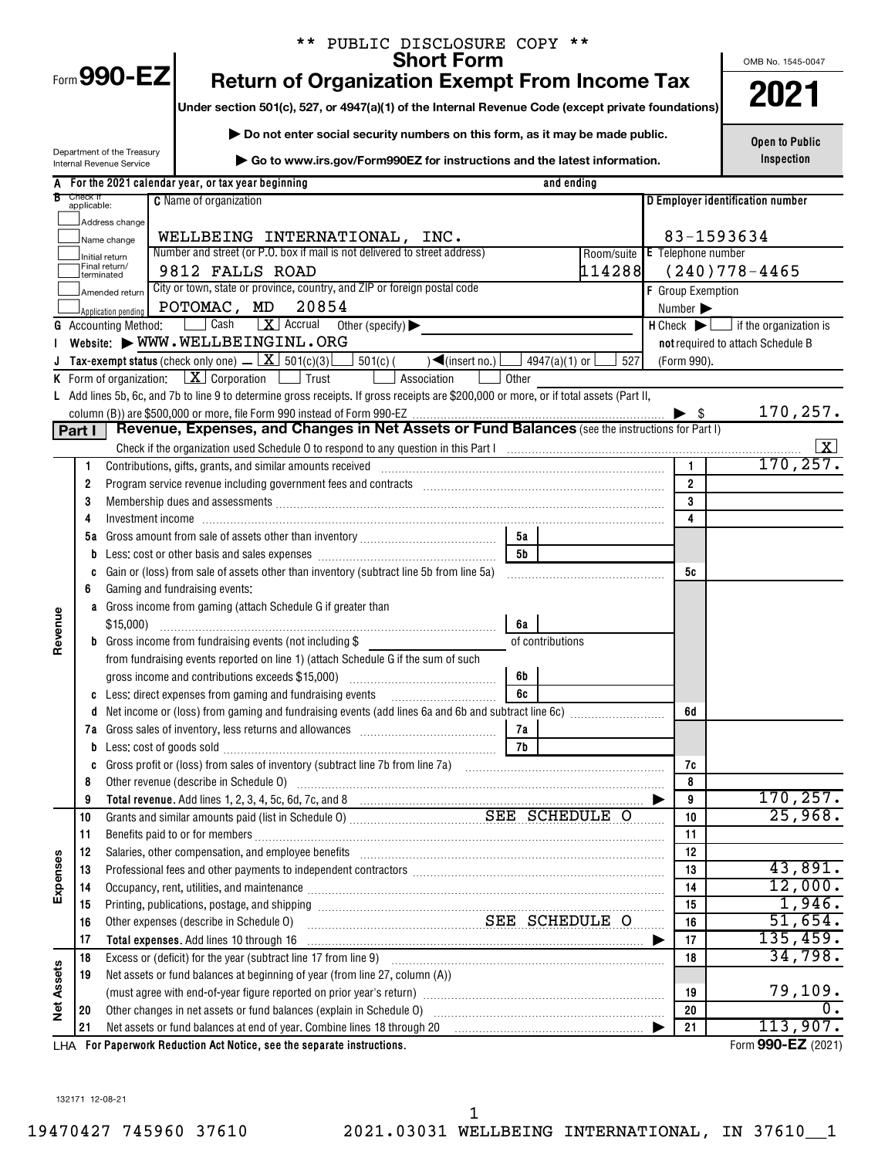|                   |                         | ** PUBLIC DISCLOSURE COPY **<br><b>Short Form</b>                                                                                                                                                                                                                                                                                                                                                                                                                |                              | OMB No. 1545-0047                                             |
|-------------------|-------------------------|------------------------------------------------------------------------------------------------------------------------------------------------------------------------------------------------------------------------------------------------------------------------------------------------------------------------------------------------------------------------------------------------------------------------------------------------------------------|------------------------------|---------------------------------------------------------------|
|                   |                         | Form 990-EZ<br><b>Return of Organization Exempt From Income Tax</b>                                                                                                                                                                                                                                                                                                                                                                                              |                              |                                                               |
|                   |                         | Under section 501(c), 527, or 4947(a)(1) of the Internal Revenue Code (except private foundations)                                                                                                                                                                                                                                                                                                                                                               |                              | 2021                                                          |
|                   |                         | Do not enter social security numbers on this form, as it may be made public.                                                                                                                                                                                                                                                                                                                                                                                     |                              | <b>Open to Public</b>                                         |
|                   |                         | Department of the Treasury<br>Go to www.irs.gov/Form990EZ for instructions and the latest information.                                                                                                                                                                                                                                                                                                                                                           |                              | Inspection                                                    |
|                   |                         | Internal Revenue Service                                                                                                                                                                                                                                                                                                                                                                                                                                         |                              |                                                               |
| В                 | Check if<br>applicable: | A For the 2021 calendar year, or tax year beginning<br>and ending<br><b>C</b> Name of organization                                                                                                                                                                                                                                                                                                                                                               |                              | D Employer identification number                              |
|                   |                         |                                                                                                                                                                                                                                                                                                                                                                                                                                                                  |                              |                                                               |
|                   |                         | Address change<br>WELLBEING INTERNATIONAL, INC.                                                                                                                                                                                                                                                                                                                                                                                                                  |                              | 83-1593634                                                    |
|                   |                         | Name change<br>Number and street (or P.O. box if mail is not delivered to street address)<br>Room/suite E Telephone number                                                                                                                                                                                                                                                                                                                                       |                              |                                                               |
|                   | terminated              | Initial return<br>Final return/<br>114288<br>9812 FALLS ROAD                                                                                                                                                                                                                                                                                                                                                                                                     |                              | $(240)778 - 4465$                                             |
|                   |                         | City or town, state or province, country, and ZIP or foreign postal code<br>Amended return                                                                                                                                                                                                                                                                                                                                                                       | <b>F</b> Group Exemption     |                                                               |
|                   |                         | POTOMAC, MD<br>20854<br>Application pending                                                                                                                                                                                                                                                                                                                                                                                                                      | Number $\blacktriangleright$ |                                                               |
|                   |                         | $\boxed{\mathbf{X}}$ Accrual<br>  Cash<br>Other (specify) $\blacktriangleright$<br><b>G</b> Accounting Method:                                                                                                                                                                                                                                                                                                                                                   |                              | $H$ Check $\blacktriangleright$ $\Box$ if the organization is |
|                   |                         | Website: WWW.WELLBEINGINL.ORG                                                                                                                                                                                                                                                                                                                                                                                                                                    |                              | not required to attach Schedule B                             |
|                   |                         | <b>Tax-exempt status</b> (check only one) $\Box$ $\Box$ 501(c)(3)<br>$501(c)$ (<br>$\sqrt{\frac{2}{10}}$ (insert no.)<br>4947(a)(1) or l<br>527                                                                                                                                                                                                                                                                                                                  | (Form 990).                  |                                                               |
|                   |                         | K Form of organization: $X$ Corporation $\Box$ Trust<br>Association<br>Other                                                                                                                                                                                                                                                                                                                                                                                     |                              |                                                               |
|                   |                         | L Add lines 5b, 6c, and 7b to line 9 to determine gross receipts. If gross receipts are \$200,000 or more, or if total assets (Part II,                                                                                                                                                                                                                                                                                                                          |                              |                                                               |
|                   |                         |                                                                                                                                                                                                                                                                                                                                                                                                                                                                  |                              | 170,257.                                                      |
|                   | Part I                  | Revenue, Expenses, and Changes in Net Assets or Fund Balances (see the instructions for Part I)                                                                                                                                                                                                                                                                                                                                                                  |                              |                                                               |
|                   |                         |                                                                                                                                                                                                                                                                                                                                                                                                                                                                  |                              |                                                               |
|                   | 1                       | Contributions, gifts, grants, and similar amounts received                                                                                                                                                                                                                                                                                                                                                                                                       | $\mathbf{1}$                 | 170,257.                                                      |
|                   | 2                       | Program service revenue including government fees and contracts [11] matter contracts [11] program service revenue including government fees and contracts [11] matter contracts and the service of the service of the service                                                                                                                                                                                                                                   | $\overline{2}$               |                                                               |
|                   | 3                       | Membership dues and assessments [111] Membership dues and assessments [11] Membership dues and assessments [11                                                                                                                                                                                                                                                                                                                                                   | 3                            |                                                               |
|                   | 4                       |                                                                                                                                                                                                                                                                                                                                                                                                                                                                  | 4                            |                                                               |
|                   |                         | 5а<br>5 <sub>b</sub>                                                                                                                                                                                                                                                                                                                                                                                                                                             |                              |                                                               |
|                   |                         | Gain or (loss) from sale of assets other than inventory (subtract line 5b from line 5a)                                                                                                                                                                                                                                                                                                                                                                          | 5c                           |                                                               |
|                   | C<br>6                  | Gaming and fundraising events:                                                                                                                                                                                                                                                                                                                                                                                                                                   |                              |                                                               |
|                   |                         | a Gross income from gaming (attach Schedule G if greater than                                                                                                                                                                                                                                                                                                                                                                                                    |                              |                                                               |
|                   |                         | \$15,000<br>6а                                                                                                                                                                                                                                                                                                                                                                                                                                                   |                              |                                                               |
| Revenue           |                         | <b>b</b> Gross income from fundraising events (not including \$<br>of contributions                                                                                                                                                                                                                                                                                                                                                                              |                              |                                                               |
|                   |                         | from fundraising events reported on line 1) (attach Schedule G if the sum of such                                                                                                                                                                                                                                                                                                                                                                                |                              |                                                               |
|                   |                         | 6b<br>gross income and contributions exceeds \$15,000)                                                                                                                                                                                                                                                                                                                                                                                                           |                              |                                                               |
|                   | C                       | Less: direct expenses from gaming and fundraising events<br>6c                                                                                                                                                                                                                                                                                                                                                                                                   |                              |                                                               |
|                   | d                       |                                                                                                                                                                                                                                                                                                                                                                                                                                                                  | 6d                           |                                                               |
|                   |                         | 7а                                                                                                                                                                                                                                                                                                                                                                                                                                                               |                              |                                                               |
|                   | b                       | Less: cost of goods sold with an annual contract of goods sold<br>7b                                                                                                                                                                                                                                                                                                                                                                                             |                              |                                                               |
|                   | C                       |                                                                                                                                                                                                                                                                                                                                                                                                                                                                  | 7c                           |                                                               |
|                   | 8                       | Other revenue (describe in Schedule O)                                                                                                                                                                                                                                                                                                                                                                                                                           | 8                            |                                                               |
|                   | 9                       |                                                                                                                                                                                                                                                                                                                                                                                                                                                                  | 9                            | 170, 257.                                                     |
|                   | 10                      | Grants and similar amounts paid (list in Schedule 0) Material SEE SCHEDULE O                                                                                                                                                                                                                                                                                                                                                                                     | 10                           | 25,968.                                                       |
|                   | 11                      |                                                                                                                                                                                                                                                                                                                                                                                                                                                                  | 11                           |                                                               |
| Expenses          | 12<br>13                | Salaries, other compensation, and employee benefits [11] matter content to the compensation, and employee benefits [11] matter communities, other compensation, and employee benefits [11] matter communities, and the communi<br>Professional fees and other payments to independent contractors [11] professional fees and other payments to independent contractors [11] professional fees and other payments to independent contractors [11] professional fe | 12<br>13                     | 43,891.                                                       |
|                   | 14                      | Occupancy, rent, utilities, and maintenance manufactured and an arrangement of the manufactured and maintenance                                                                                                                                                                                                                                                                                                                                                  | 14                           | 12,000.                                                       |
|                   | 15                      |                                                                                                                                                                                                                                                                                                                                                                                                                                                                  | 15                           | 1,946.                                                        |
|                   | 16                      | Printing, publications, postage, and shipping<br>Other expenses (describe in Schedule 0)<br>CHEDULE O                                                                                                                                                                                                                                                                                                                                                            | 16                           | 51,654.                                                       |
|                   | 17                      | Total expenses. Add lines 10 through 16 [11] [12] manufacture is a set of the set of the set of the set of the set of the set of the set of the set of the set of the set of the set of the set of the set of the set of the s                                                                                                                                                                                                                                   | 17                           | 135,459.                                                      |
|                   | 18                      | Excess or (deficit) for the year (subtract line 17 from line 9)                                                                                                                                                                                                                                                                                                                                                                                                  | 18                           | 34,798.                                                       |
| <b>Vet Assets</b> | 19                      | Net assets or fund balances at beginning of year (from line 27, column (A))                                                                                                                                                                                                                                                                                                                                                                                      |                              |                                                               |
|                   |                         |                                                                                                                                                                                                                                                                                                                                                                                                                                                                  | 19                           | 79,109.                                                       |
|                   | 20                      | Other changes in net assets or fund balances (explain in Schedule 0) [11] content changes in net assets or fund balances (explain in Schedule 0) [11] content changes in net assets or fund balances (explain in Schedule 0) [                                                                                                                                                                                                                                   | 20                           | 0.                                                            |

**For Paperwork Reduction Act Notice, see the separate instructions.** LHA Form (2021) Net assets or fund balances at end of year. Combine lines 18 through 20 |

Form **990-EZ** (2021)

113,907.

**20 21**

132171 12-08-21

**21**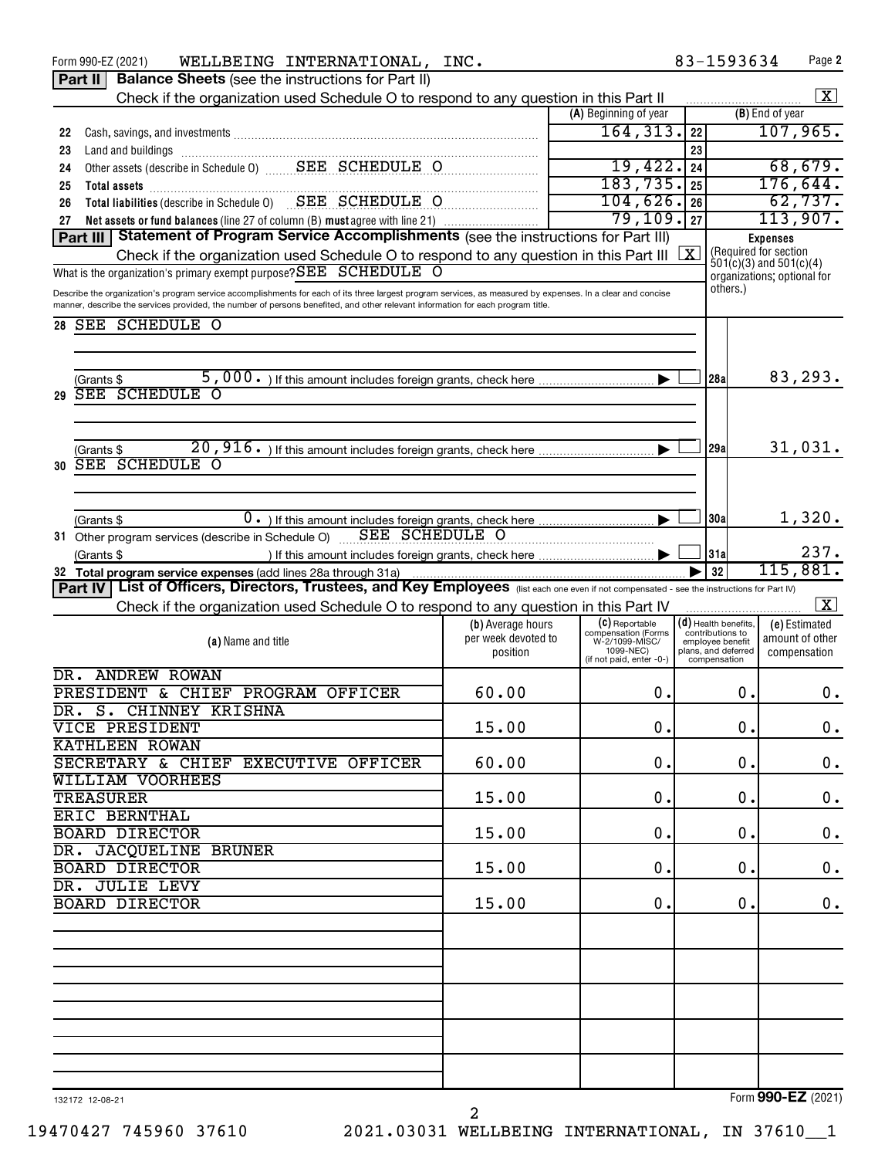| WELLBEING INTERNATIONAL, INC.<br>Form 990-EZ (2021)                                                                                                                                                                                                                                            |                     |                                       | 83-1593634                           | Page 2                                   |
|------------------------------------------------------------------------------------------------------------------------------------------------------------------------------------------------------------------------------------------------------------------------------------------------|---------------------|---------------------------------------|--------------------------------------|------------------------------------------|
| <b>Balance Sheets</b> (see the instructions for Part II)<br>Part II                                                                                                                                                                                                                            |                     |                                       |                                      |                                          |
| Check if the organization used Schedule O to respond to any question in this Part II                                                                                                                                                                                                           |                     |                                       |                                      | $\mathbf{X}$                             |
|                                                                                                                                                                                                                                                                                                |                     | (A) Beginning of year                 |                                      | (B) End of year                          |
| 22                                                                                                                                                                                                                                                                                             |                     | 164, 313.                             | 22                                   | 107,965.                                 |
| 23<br>Land and buildings<br>Other assets (describe in Schedule 0)<br>Cher assets (describe in Schedule 0)<br>CHEDULE O                                                                                                                                                                         |                     |                                       | 23                                   |                                          |
| 24                                                                                                                                                                                                                                                                                             |                     | 19,422.                               | 24                                   | 68,679.                                  |
| 25<br>Total assets<br>Total liabilities (describe in Schedule 0)<br>SEE SCHEDULE O                                                                                                                                                                                                             |                     | 183, 735.                             | 25                                   | 176,644.                                 |
| 26                                                                                                                                                                                                                                                                                             |                     | 104,626.                              | 26                                   | 62,737.                                  |
| Net assets or fund balances (line 27 of column (B) must agree with line 21)<br>27<br>Part III   Statement of Program Service Accomplishments (see the instructions for Part III)                                                                                                               |                     | 79,109.                               | 27                                   | 113,907.                                 |
|                                                                                                                                                                                                                                                                                                |                     |                                       | $\overline{\mathbf{x}}$              | <b>Expenses</b><br>(Required for section |
| Check if the organization used Schedule O to respond to any question in this Part III                                                                                                                                                                                                          |                     |                                       |                                      | $501(c)(3)$ and $501(c)(4)$              |
| What is the organization's primary exempt purpose? SEE SCHEDULE O                                                                                                                                                                                                                              |                     |                                       | others.)                             | organizations; optional for              |
| Describe the organization's program service accomplishments for each of its three largest program services, as measured by expenses. In a clear and concise<br>manner, describe the services provided, the number of persons benefited, and other relevant information for each program title. |                     |                                       |                                      |                                          |
| <b>SEE SCHEDULE O</b><br>28                                                                                                                                                                                                                                                                    |                     |                                       |                                      |                                          |
|                                                                                                                                                                                                                                                                                                |                     |                                       |                                      |                                          |
|                                                                                                                                                                                                                                                                                                |                     |                                       |                                      |                                          |
| (Grants \$                                                                                                                                                                                                                                                                                     |                     |                                       | 128al                                | 83,293.                                  |
| <b>SEE SCHEDULE O</b><br>29                                                                                                                                                                                                                                                                    |                     |                                       |                                      |                                          |
|                                                                                                                                                                                                                                                                                                |                     |                                       |                                      |                                          |
|                                                                                                                                                                                                                                                                                                |                     |                                       |                                      |                                          |
| (Grants \$                                                                                                                                                                                                                                                                                     |                     |                                       | 129al                                | 31,031.                                  |
| <b>SEE SCHEDULE O</b><br>30                                                                                                                                                                                                                                                                    |                     |                                       |                                      |                                          |
|                                                                                                                                                                                                                                                                                                |                     |                                       |                                      |                                          |
|                                                                                                                                                                                                                                                                                                |                     |                                       |                                      |                                          |
| (Grants \$                                                                                                                                                                                                                                                                                     |                     |                                       | 30a                                  | 1,320.                                   |
| 31 Other program services (describe in Schedule O) SEE SCHEDULE O                                                                                                                                                                                                                              |                     |                                       |                                      |                                          |
| (Grants \$                                                                                                                                                                                                                                                                                     |                     |                                       | 31a                                  | 237.                                     |
| 32 Total program service expenses (add lines 28a through 31a)                                                                                                                                                                                                                                  |                     |                                       | 32                                   | 115,881.                                 |
| Part IV   List of Officers, Directors, Trustees, and Key Employees (list each one even if not compensated - see the instructions for Part IV)                                                                                                                                                  |                     |                                       |                                      |                                          |
| Check if the organization used Schedule O to respond to any question in this Part IV                                                                                                                                                                                                           |                     |                                       |                                      | $\boxed{\textbf{X}}$                     |
|                                                                                                                                                                                                                                                                                                | (b) Average hours   | (C) Reportable                        | (d) Health benefits,                 | (e) Estimated                            |
| (a) Name and title                                                                                                                                                                                                                                                                             | per week devoted to | compensation (Forms<br>W-2/1099-MISC/ | contributions to<br>employee benefit | amount of other                          |
|                                                                                                                                                                                                                                                                                                | position            | 1099-NEC)<br>(if not paid, enter -0-) | plans, and deferred<br>compensation  | compensation                             |
| DR. ANDREW ROWAN                                                                                                                                                                                                                                                                               |                     |                                       |                                      |                                          |
| PRESIDENT & CHIEF PROGRAM OFFICER                                                                                                                                                                                                                                                              | 60.00               | 0.                                    | 0.                                   | 0.                                       |
| DR. S. CHINNEY KRISHNA                                                                                                                                                                                                                                                                         |                     |                                       |                                      |                                          |
| VICE PRESIDENT                                                                                                                                                                                                                                                                                 | 15.00               | 0.                                    | 0.                                   | $\mathbf 0$ .                            |
| <b>KATHLEEN ROWAN</b>                                                                                                                                                                                                                                                                          |                     |                                       |                                      |                                          |
| SECRETARY & CHIEF EXECUTIVE OFFICER                                                                                                                                                                                                                                                            | 60.00               | 0.                                    | 0.                                   | $\mathbf 0$ .                            |
| <b>WILLIAM VOORHEES</b>                                                                                                                                                                                                                                                                        |                     |                                       |                                      |                                          |
| <b>TREASURER</b>                                                                                                                                                                                                                                                                               | 15.00               | 0.                                    | 0.                                   | $\mathbf 0$ .                            |
| <b>ERIC BERNTHAL</b>                                                                                                                                                                                                                                                                           |                     |                                       |                                      |                                          |
| <b>BOARD DIRECTOR</b>                                                                                                                                                                                                                                                                          | 15.00               | 0.                                    | 0.                                   | $\mathbf 0$ .                            |
| DR. JACQUELINE BRUNER                                                                                                                                                                                                                                                                          |                     |                                       |                                      |                                          |
| <b>BOARD DIRECTOR</b>                                                                                                                                                                                                                                                                          | 15.00               | 0.                                    | 0.                                   | $\mathbf 0$ .                            |
| DR. JULIE LEVY                                                                                                                                                                                                                                                                                 |                     |                                       |                                      |                                          |
| <b>BOARD DIRECTOR</b>                                                                                                                                                                                                                                                                          | 15.00               | 0.                                    | 0.                                   | $\mathbf 0$ .                            |
|                                                                                                                                                                                                                                                                                                |                     |                                       |                                      |                                          |
|                                                                                                                                                                                                                                                                                                |                     |                                       |                                      |                                          |
|                                                                                                                                                                                                                                                                                                |                     |                                       |                                      |                                          |
|                                                                                                                                                                                                                                                                                                |                     |                                       |                                      |                                          |
|                                                                                                                                                                                                                                                                                                |                     |                                       |                                      |                                          |
|                                                                                                                                                                                                                                                                                                |                     |                                       |                                      |                                          |
|                                                                                                                                                                                                                                                                                                |                     |                                       |                                      |                                          |
|                                                                                                                                                                                                                                                                                                |                     |                                       |                                      |                                          |
|                                                                                                                                                                                                                                                                                                |                     |                                       |                                      |                                          |
|                                                                                                                                                                                                                                                                                                |                     |                                       |                                      |                                          |
|                                                                                                                                                                                                                                                                                                |                     |                                       |                                      |                                          |
| 132172 12-08-21                                                                                                                                                                                                                                                                                |                     |                                       |                                      | Form 990-EZ (2021)                       |

19470427 745960 37610 2021.03031 WELLBEING INTERNATIONAL, IN 37610\_\_1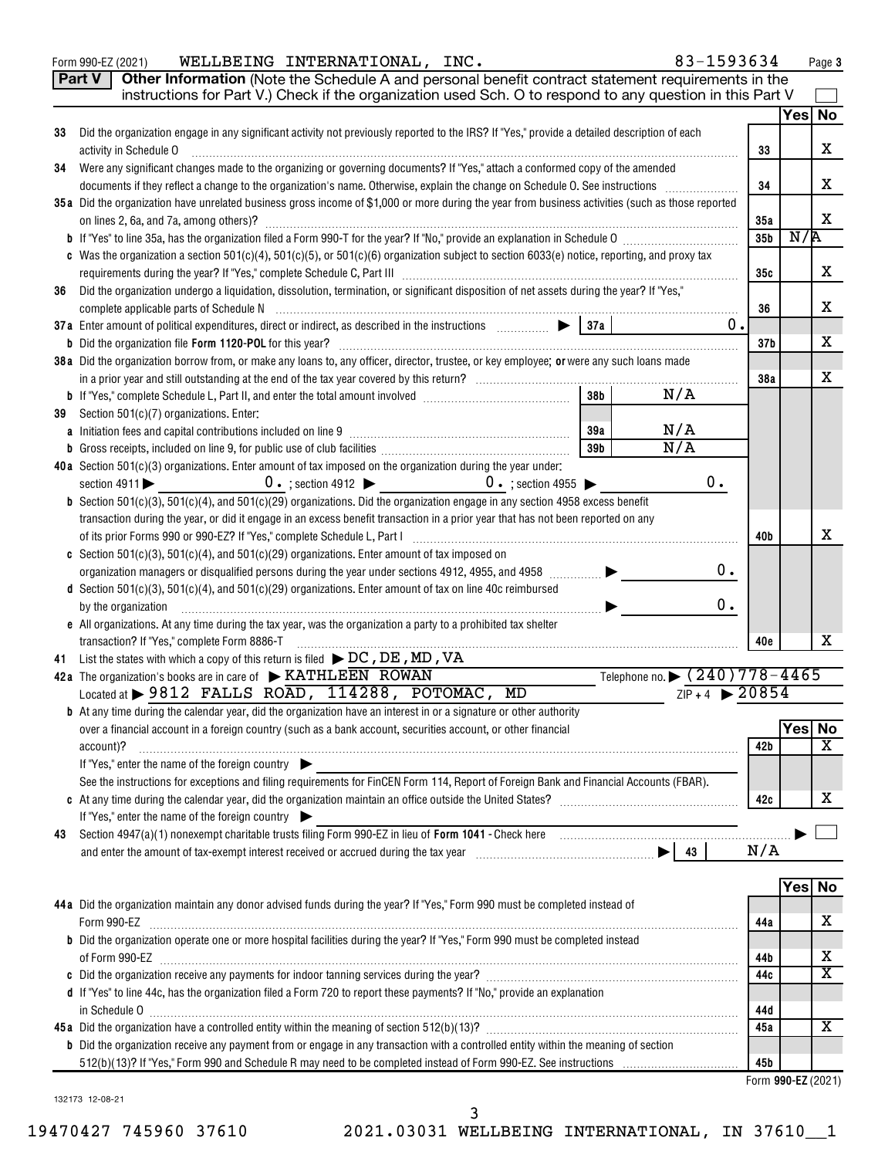| Yes  No<br>Did the organization engage in any significant activity not previously reported to the IRS? If "Yes," provide a detailed description of each<br>33<br>X<br>activity in Schedule O<br>33<br>Were any significant changes made to the organizing or governing documents? If "Yes," attach a conformed copy of the amended<br>34<br>X<br>34<br>35a Did the organization have unrelated business gross income of \$1,000 or more during the year from business activities (such as those reported<br>X<br>on lines 2, 6a, and 7a, among others)?<br>35a<br>N/R<br>35b<br>c Was the organization a section 501(c)(4), 501(c)(5), or 501(c)(6) organization subject to section 6033(e) notice, reporting, and proxy tax<br>X<br>35с<br>Did the organization undergo a liquidation, dissolution, termination, or significant disposition of net assets during the year? If "Yes,"<br>36<br>х<br>36<br>0.<br>х<br>37 <sub>b</sub><br>38a Did the organization borrow from, or make any loans to, any officer, director, trustee, or key employee; or were any such loans made<br>х<br>38a<br>38 <sub>b</sub><br>N/A<br>Section 501(c)(7) organizations. Enter:<br>39<br>N/A<br>39a<br>N/A<br>39b<br>b<br>40a Section $501(c)(3)$ organizations. Enter amount of tax imposed on the organization during the year under:<br>0.<br>$0 \cdot$ ; section 4912 $\triangleright$ $0 \cdot$ ; section 4955 $\triangleright$<br>section $4911$<br><b>b</b> Section 501(c)(3), 501(c)(4), and 501(c)(29) organizations. Did the organization engage in any section 4958 excess benefit<br>transaction during the year, or did it engage in an excess benefit transaction in a prior year that has not been reported on any<br>х<br>40b<br><b>c</b> Section 501(c)(3), 501(c)(4), and 501(c)(29) organizations. Enter amount of tax imposed on<br>0.<br>organization managers or disqualified persons during the year under sections 4912, 4955, and 4958 [<br>d Section 501(c)(3), 501(c)(4), and 501(c)(29) organizations. Enter amount of tax on line 40c reimbursed<br>0.<br>by the organization<br>e All organizations. At any time during the tax year, was the organization a party to a prohibited tax shelter<br>x<br>transaction? If "Yes," complete Form 8886-T<br>40 <sub>e</sub><br>List the states with which a copy of this return is filed $\blacktriangleright$ DC, DE, MD, VA<br>41<br>Telephone no. $\triangleright$ $(240)778 - 4465$<br>42a The organization's books are in care of $\triangleright$ KATHLEEN ROWAN<br>$ZIP + 4$ 20854<br>Located at > 9812 FALLS ROAD, 114288, POTOMAC, MD<br><b>b</b> At any time during the calendar year, did the organization have an interest in or a signature or other authority<br><b>Yes No</b><br>over a financial account in a foreign country (such as a bank account, securities account, or other financial<br>$\overline{\texttt{x}}$<br>42b<br>account)?<br>If "Yes," enter the name of the foreign country<br>See the instructions for exceptions and filing requirements for FinCEN Form 114, Report of Foreign Bank and Financial Accounts (FBAR).<br>x<br>42c<br>If "Yes," enter the name of the foreign country<br>43<br>N/A<br>Yes  No<br>44a Did the organization maintain any donor advised funds during the year? If "Yes," Form 990 must be completed instead of<br>x<br>44a<br>b Did the organization operate one or more hospital facilities during the year? If "Yes," Form 990 must be completed instead<br>х<br>44b<br>$\overline{\textbf{X}}$<br>44c<br>d If "Yes" to line 44c, has the organization filed a Form 720 to report these payments? If "No," provide an explanation<br>44d<br>х<br>45a<br>b Did the organization receive any payment from or engage in any transaction with a controlled entity within the meaning of section<br>45b<br>Form 990-EZ (2021) | Part V<br>Other Information (Note the Schedule A and personal benefit contract statement requirements in the<br>instructions for Part V.) Check if the organization used Sch. O to respond to any question in this Part V |  |  |
|------------------------------------------------------------------------------------------------------------------------------------------------------------------------------------------------------------------------------------------------------------------------------------------------------------------------------------------------------------------------------------------------------------------------------------------------------------------------------------------------------------------------------------------------------------------------------------------------------------------------------------------------------------------------------------------------------------------------------------------------------------------------------------------------------------------------------------------------------------------------------------------------------------------------------------------------------------------------------------------------------------------------------------------------------------------------------------------------------------------------------------------------------------------------------------------------------------------------------------------------------------------------------------------------------------------------------------------------------------------------------------------------------------------------------------------------------------------------------------------------------------------------------------------------------------------------------------------------------------------------------------------------------------------------------------------------------------------------------------------------------------------------------------------------------------------------------------------------------------------------------------------------------------------------------------------------------------------------------------------------------------------------------------------------------------------------------------------------------------------------------------------------------------------------------------------------------------------------------------------------------------------------------------------------------------------------------------------------------------------------------------------------------------------------------------------------------------------------------------------------------------------------------------------------------------------------------------------------------------------------------------------------------------------------------------------------------------------------------------------------------------------------------------------------------------------------------------------------------------------------------------------------------------------------------------------------------------------------------------------------------------------------------------------------------------------------------------------------------------------------------------------------------------------------------------------------------------------------------------------------------------------------------------------------------------------------------------------------------------------------------------------------------------------------------------------------------------------------------------------------------------------------------------------------------------------------------------------------------------------------------------------------------------------------------------------------------------------------------------------------------------------------------------------------------------------------------------------------------|---------------------------------------------------------------------------------------------------------------------------------------------------------------------------------------------------------------------------|--|--|
|                                                                                                                                                                                                                                                                                                                                                                                                                                                                                                                                                                                                                                                                                                                                                                                                                                                                                                                                                                                                                                                                                                                                                                                                                                                                                                                                                                                                                                                                                                                                                                                                                                                                                                                                                                                                                                                                                                                                                                                                                                                                                                                                                                                                                                                                                                                                                                                                                                                                                                                                                                                                                                                                                                                                                                                                                                                                                                                                                                                                                                                                                                                                                                                                                                                                                                                                                                                                                                                                                                                                                                                                                                                                                                                                                                                                                                                      |                                                                                                                                                                                                                           |  |  |
|                                                                                                                                                                                                                                                                                                                                                                                                                                                                                                                                                                                                                                                                                                                                                                                                                                                                                                                                                                                                                                                                                                                                                                                                                                                                                                                                                                                                                                                                                                                                                                                                                                                                                                                                                                                                                                                                                                                                                                                                                                                                                                                                                                                                                                                                                                                                                                                                                                                                                                                                                                                                                                                                                                                                                                                                                                                                                                                                                                                                                                                                                                                                                                                                                                                                                                                                                                                                                                                                                                                                                                                                                                                                                                                                                                                                                                                      |                                                                                                                                                                                                                           |  |  |
|                                                                                                                                                                                                                                                                                                                                                                                                                                                                                                                                                                                                                                                                                                                                                                                                                                                                                                                                                                                                                                                                                                                                                                                                                                                                                                                                                                                                                                                                                                                                                                                                                                                                                                                                                                                                                                                                                                                                                                                                                                                                                                                                                                                                                                                                                                                                                                                                                                                                                                                                                                                                                                                                                                                                                                                                                                                                                                                                                                                                                                                                                                                                                                                                                                                                                                                                                                                                                                                                                                                                                                                                                                                                                                                                                                                                                                                      |                                                                                                                                                                                                                           |  |  |
|                                                                                                                                                                                                                                                                                                                                                                                                                                                                                                                                                                                                                                                                                                                                                                                                                                                                                                                                                                                                                                                                                                                                                                                                                                                                                                                                                                                                                                                                                                                                                                                                                                                                                                                                                                                                                                                                                                                                                                                                                                                                                                                                                                                                                                                                                                                                                                                                                                                                                                                                                                                                                                                                                                                                                                                                                                                                                                                                                                                                                                                                                                                                                                                                                                                                                                                                                                                                                                                                                                                                                                                                                                                                                                                                                                                                                                                      |                                                                                                                                                                                                                           |  |  |
|                                                                                                                                                                                                                                                                                                                                                                                                                                                                                                                                                                                                                                                                                                                                                                                                                                                                                                                                                                                                                                                                                                                                                                                                                                                                                                                                                                                                                                                                                                                                                                                                                                                                                                                                                                                                                                                                                                                                                                                                                                                                                                                                                                                                                                                                                                                                                                                                                                                                                                                                                                                                                                                                                                                                                                                                                                                                                                                                                                                                                                                                                                                                                                                                                                                                                                                                                                                                                                                                                                                                                                                                                                                                                                                                                                                                                                                      |                                                                                                                                                                                                                           |  |  |
|                                                                                                                                                                                                                                                                                                                                                                                                                                                                                                                                                                                                                                                                                                                                                                                                                                                                                                                                                                                                                                                                                                                                                                                                                                                                                                                                                                                                                                                                                                                                                                                                                                                                                                                                                                                                                                                                                                                                                                                                                                                                                                                                                                                                                                                                                                                                                                                                                                                                                                                                                                                                                                                                                                                                                                                                                                                                                                                                                                                                                                                                                                                                                                                                                                                                                                                                                                                                                                                                                                                                                                                                                                                                                                                                                                                                                                                      |                                                                                                                                                                                                                           |  |  |
|                                                                                                                                                                                                                                                                                                                                                                                                                                                                                                                                                                                                                                                                                                                                                                                                                                                                                                                                                                                                                                                                                                                                                                                                                                                                                                                                                                                                                                                                                                                                                                                                                                                                                                                                                                                                                                                                                                                                                                                                                                                                                                                                                                                                                                                                                                                                                                                                                                                                                                                                                                                                                                                                                                                                                                                                                                                                                                                                                                                                                                                                                                                                                                                                                                                                                                                                                                                                                                                                                                                                                                                                                                                                                                                                                                                                                                                      |                                                                                                                                                                                                                           |  |  |
|                                                                                                                                                                                                                                                                                                                                                                                                                                                                                                                                                                                                                                                                                                                                                                                                                                                                                                                                                                                                                                                                                                                                                                                                                                                                                                                                                                                                                                                                                                                                                                                                                                                                                                                                                                                                                                                                                                                                                                                                                                                                                                                                                                                                                                                                                                                                                                                                                                                                                                                                                                                                                                                                                                                                                                                                                                                                                                                                                                                                                                                                                                                                                                                                                                                                                                                                                                                                                                                                                                                                                                                                                                                                                                                                                                                                                                                      |                                                                                                                                                                                                                           |  |  |
|                                                                                                                                                                                                                                                                                                                                                                                                                                                                                                                                                                                                                                                                                                                                                                                                                                                                                                                                                                                                                                                                                                                                                                                                                                                                                                                                                                                                                                                                                                                                                                                                                                                                                                                                                                                                                                                                                                                                                                                                                                                                                                                                                                                                                                                                                                                                                                                                                                                                                                                                                                                                                                                                                                                                                                                                                                                                                                                                                                                                                                                                                                                                                                                                                                                                                                                                                                                                                                                                                                                                                                                                                                                                                                                                                                                                                                                      |                                                                                                                                                                                                                           |  |  |
|                                                                                                                                                                                                                                                                                                                                                                                                                                                                                                                                                                                                                                                                                                                                                                                                                                                                                                                                                                                                                                                                                                                                                                                                                                                                                                                                                                                                                                                                                                                                                                                                                                                                                                                                                                                                                                                                                                                                                                                                                                                                                                                                                                                                                                                                                                                                                                                                                                                                                                                                                                                                                                                                                                                                                                                                                                                                                                                                                                                                                                                                                                                                                                                                                                                                                                                                                                                                                                                                                                                                                                                                                                                                                                                                                                                                                                                      |                                                                                                                                                                                                                           |  |  |
|                                                                                                                                                                                                                                                                                                                                                                                                                                                                                                                                                                                                                                                                                                                                                                                                                                                                                                                                                                                                                                                                                                                                                                                                                                                                                                                                                                                                                                                                                                                                                                                                                                                                                                                                                                                                                                                                                                                                                                                                                                                                                                                                                                                                                                                                                                                                                                                                                                                                                                                                                                                                                                                                                                                                                                                                                                                                                                                                                                                                                                                                                                                                                                                                                                                                                                                                                                                                                                                                                                                                                                                                                                                                                                                                                                                                                                                      |                                                                                                                                                                                                                           |  |  |
|                                                                                                                                                                                                                                                                                                                                                                                                                                                                                                                                                                                                                                                                                                                                                                                                                                                                                                                                                                                                                                                                                                                                                                                                                                                                                                                                                                                                                                                                                                                                                                                                                                                                                                                                                                                                                                                                                                                                                                                                                                                                                                                                                                                                                                                                                                                                                                                                                                                                                                                                                                                                                                                                                                                                                                                                                                                                                                                                                                                                                                                                                                                                                                                                                                                                                                                                                                                                                                                                                                                                                                                                                                                                                                                                                                                                                                                      |                                                                                                                                                                                                                           |  |  |
|                                                                                                                                                                                                                                                                                                                                                                                                                                                                                                                                                                                                                                                                                                                                                                                                                                                                                                                                                                                                                                                                                                                                                                                                                                                                                                                                                                                                                                                                                                                                                                                                                                                                                                                                                                                                                                                                                                                                                                                                                                                                                                                                                                                                                                                                                                                                                                                                                                                                                                                                                                                                                                                                                                                                                                                                                                                                                                                                                                                                                                                                                                                                                                                                                                                                                                                                                                                                                                                                                                                                                                                                                                                                                                                                                                                                                                                      |                                                                                                                                                                                                                           |  |  |
|                                                                                                                                                                                                                                                                                                                                                                                                                                                                                                                                                                                                                                                                                                                                                                                                                                                                                                                                                                                                                                                                                                                                                                                                                                                                                                                                                                                                                                                                                                                                                                                                                                                                                                                                                                                                                                                                                                                                                                                                                                                                                                                                                                                                                                                                                                                                                                                                                                                                                                                                                                                                                                                                                                                                                                                                                                                                                                                                                                                                                                                                                                                                                                                                                                                                                                                                                                                                                                                                                                                                                                                                                                                                                                                                                                                                                                                      |                                                                                                                                                                                                                           |  |  |
|                                                                                                                                                                                                                                                                                                                                                                                                                                                                                                                                                                                                                                                                                                                                                                                                                                                                                                                                                                                                                                                                                                                                                                                                                                                                                                                                                                                                                                                                                                                                                                                                                                                                                                                                                                                                                                                                                                                                                                                                                                                                                                                                                                                                                                                                                                                                                                                                                                                                                                                                                                                                                                                                                                                                                                                                                                                                                                                                                                                                                                                                                                                                                                                                                                                                                                                                                                                                                                                                                                                                                                                                                                                                                                                                                                                                                                                      |                                                                                                                                                                                                                           |  |  |
|                                                                                                                                                                                                                                                                                                                                                                                                                                                                                                                                                                                                                                                                                                                                                                                                                                                                                                                                                                                                                                                                                                                                                                                                                                                                                                                                                                                                                                                                                                                                                                                                                                                                                                                                                                                                                                                                                                                                                                                                                                                                                                                                                                                                                                                                                                                                                                                                                                                                                                                                                                                                                                                                                                                                                                                                                                                                                                                                                                                                                                                                                                                                                                                                                                                                                                                                                                                                                                                                                                                                                                                                                                                                                                                                                                                                                                                      |                                                                                                                                                                                                                           |  |  |
|                                                                                                                                                                                                                                                                                                                                                                                                                                                                                                                                                                                                                                                                                                                                                                                                                                                                                                                                                                                                                                                                                                                                                                                                                                                                                                                                                                                                                                                                                                                                                                                                                                                                                                                                                                                                                                                                                                                                                                                                                                                                                                                                                                                                                                                                                                                                                                                                                                                                                                                                                                                                                                                                                                                                                                                                                                                                                                                                                                                                                                                                                                                                                                                                                                                                                                                                                                                                                                                                                                                                                                                                                                                                                                                                                                                                                                                      |                                                                                                                                                                                                                           |  |  |
|                                                                                                                                                                                                                                                                                                                                                                                                                                                                                                                                                                                                                                                                                                                                                                                                                                                                                                                                                                                                                                                                                                                                                                                                                                                                                                                                                                                                                                                                                                                                                                                                                                                                                                                                                                                                                                                                                                                                                                                                                                                                                                                                                                                                                                                                                                                                                                                                                                                                                                                                                                                                                                                                                                                                                                                                                                                                                                                                                                                                                                                                                                                                                                                                                                                                                                                                                                                                                                                                                                                                                                                                                                                                                                                                                                                                                                                      |                                                                                                                                                                                                                           |  |  |
|                                                                                                                                                                                                                                                                                                                                                                                                                                                                                                                                                                                                                                                                                                                                                                                                                                                                                                                                                                                                                                                                                                                                                                                                                                                                                                                                                                                                                                                                                                                                                                                                                                                                                                                                                                                                                                                                                                                                                                                                                                                                                                                                                                                                                                                                                                                                                                                                                                                                                                                                                                                                                                                                                                                                                                                                                                                                                                                                                                                                                                                                                                                                                                                                                                                                                                                                                                                                                                                                                                                                                                                                                                                                                                                                                                                                                                                      |                                                                                                                                                                                                                           |  |  |
|                                                                                                                                                                                                                                                                                                                                                                                                                                                                                                                                                                                                                                                                                                                                                                                                                                                                                                                                                                                                                                                                                                                                                                                                                                                                                                                                                                                                                                                                                                                                                                                                                                                                                                                                                                                                                                                                                                                                                                                                                                                                                                                                                                                                                                                                                                                                                                                                                                                                                                                                                                                                                                                                                                                                                                                                                                                                                                                                                                                                                                                                                                                                                                                                                                                                                                                                                                                                                                                                                                                                                                                                                                                                                                                                                                                                                                                      |                                                                                                                                                                                                                           |  |  |
|                                                                                                                                                                                                                                                                                                                                                                                                                                                                                                                                                                                                                                                                                                                                                                                                                                                                                                                                                                                                                                                                                                                                                                                                                                                                                                                                                                                                                                                                                                                                                                                                                                                                                                                                                                                                                                                                                                                                                                                                                                                                                                                                                                                                                                                                                                                                                                                                                                                                                                                                                                                                                                                                                                                                                                                                                                                                                                                                                                                                                                                                                                                                                                                                                                                                                                                                                                                                                                                                                                                                                                                                                                                                                                                                                                                                                                                      |                                                                                                                                                                                                                           |  |  |
|                                                                                                                                                                                                                                                                                                                                                                                                                                                                                                                                                                                                                                                                                                                                                                                                                                                                                                                                                                                                                                                                                                                                                                                                                                                                                                                                                                                                                                                                                                                                                                                                                                                                                                                                                                                                                                                                                                                                                                                                                                                                                                                                                                                                                                                                                                                                                                                                                                                                                                                                                                                                                                                                                                                                                                                                                                                                                                                                                                                                                                                                                                                                                                                                                                                                                                                                                                                                                                                                                                                                                                                                                                                                                                                                                                                                                                                      |                                                                                                                                                                                                                           |  |  |
|                                                                                                                                                                                                                                                                                                                                                                                                                                                                                                                                                                                                                                                                                                                                                                                                                                                                                                                                                                                                                                                                                                                                                                                                                                                                                                                                                                                                                                                                                                                                                                                                                                                                                                                                                                                                                                                                                                                                                                                                                                                                                                                                                                                                                                                                                                                                                                                                                                                                                                                                                                                                                                                                                                                                                                                                                                                                                                                                                                                                                                                                                                                                                                                                                                                                                                                                                                                                                                                                                                                                                                                                                                                                                                                                                                                                                                                      |                                                                                                                                                                                                                           |  |  |
|                                                                                                                                                                                                                                                                                                                                                                                                                                                                                                                                                                                                                                                                                                                                                                                                                                                                                                                                                                                                                                                                                                                                                                                                                                                                                                                                                                                                                                                                                                                                                                                                                                                                                                                                                                                                                                                                                                                                                                                                                                                                                                                                                                                                                                                                                                                                                                                                                                                                                                                                                                                                                                                                                                                                                                                                                                                                                                                                                                                                                                                                                                                                                                                                                                                                                                                                                                                                                                                                                                                                                                                                                                                                                                                                                                                                                                                      |                                                                                                                                                                                                                           |  |  |
|                                                                                                                                                                                                                                                                                                                                                                                                                                                                                                                                                                                                                                                                                                                                                                                                                                                                                                                                                                                                                                                                                                                                                                                                                                                                                                                                                                                                                                                                                                                                                                                                                                                                                                                                                                                                                                                                                                                                                                                                                                                                                                                                                                                                                                                                                                                                                                                                                                                                                                                                                                                                                                                                                                                                                                                                                                                                                                                                                                                                                                                                                                                                                                                                                                                                                                                                                                                                                                                                                                                                                                                                                                                                                                                                                                                                                                                      |                                                                                                                                                                                                                           |  |  |
|                                                                                                                                                                                                                                                                                                                                                                                                                                                                                                                                                                                                                                                                                                                                                                                                                                                                                                                                                                                                                                                                                                                                                                                                                                                                                                                                                                                                                                                                                                                                                                                                                                                                                                                                                                                                                                                                                                                                                                                                                                                                                                                                                                                                                                                                                                                                                                                                                                                                                                                                                                                                                                                                                                                                                                                                                                                                                                                                                                                                                                                                                                                                                                                                                                                                                                                                                                                                                                                                                                                                                                                                                                                                                                                                                                                                                                                      |                                                                                                                                                                                                                           |  |  |
|                                                                                                                                                                                                                                                                                                                                                                                                                                                                                                                                                                                                                                                                                                                                                                                                                                                                                                                                                                                                                                                                                                                                                                                                                                                                                                                                                                                                                                                                                                                                                                                                                                                                                                                                                                                                                                                                                                                                                                                                                                                                                                                                                                                                                                                                                                                                                                                                                                                                                                                                                                                                                                                                                                                                                                                                                                                                                                                                                                                                                                                                                                                                                                                                                                                                                                                                                                                                                                                                                                                                                                                                                                                                                                                                                                                                                                                      |                                                                                                                                                                                                                           |  |  |
|                                                                                                                                                                                                                                                                                                                                                                                                                                                                                                                                                                                                                                                                                                                                                                                                                                                                                                                                                                                                                                                                                                                                                                                                                                                                                                                                                                                                                                                                                                                                                                                                                                                                                                                                                                                                                                                                                                                                                                                                                                                                                                                                                                                                                                                                                                                                                                                                                                                                                                                                                                                                                                                                                                                                                                                                                                                                                                                                                                                                                                                                                                                                                                                                                                                                                                                                                                                                                                                                                                                                                                                                                                                                                                                                                                                                                                                      |                                                                                                                                                                                                                           |  |  |
|                                                                                                                                                                                                                                                                                                                                                                                                                                                                                                                                                                                                                                                                                                                                                                                                                                                                                                                                                                                                                                                                                                                                                                                                                                                                                                                                                                                                                                                                                                                                                                                                                                                                                                                                                                                                                                                                                                                                                                                                                                                                                                                                                                                                                                                                                                                                                                                                                                                                                                                                                                                                                                                                                                                                                                                                                                                                                                                                                                                                                                                                                                                                                                                                                                                                                                                                                                                                                                                                                                                                                                                                                                                                                                                                                                                                                                                      |                                                                                                                                                                                                                           |  |  |
|                                                                                                                                                                                                                                                                                                                                                                                                                                                                                                                                                                                                                                                                                                                                                                                                                                                                                                                                                                                                                                                                                                                                                                                                                                                                                                                                                                                                                                                                                                                                                                                                                                                                                                                                                                                                                                                                                                                                                                                                                                                                                                                                                                                                                                                                                                                                                                                                                                                                                                                                                                                                                                                                                                                                                                                                                                                                                                                                                                                                                                                                                                                                                                                                                                                                                                                                                                                                                                                                                                                                                                                                                                                                                                                                                                                                                                                      |                                                                                                                                                                                                                           |  |  |
|                                                                                                                                                                                                                                                                                                                                                                                                                                                                                                                                                                                                                                                                                                                                                                                                                                                                                                                                                                                                                                                                                                                                                                                                                                                                                                                                                                                                                                                                                                                                                                                                                                                                                                                                                                                                                                                                                                                                                                                                                                                                                                                                                                                                                                                                                                                                                                                                                                                                                                                                                                                                                                                                                                                                                                                                                                                                                                                                                                                                                                                                                                                                                                                                                                                                                                                                                                                                                                                                                                                                                                                                                                                                                                                                                                                                                                                      |                                                                                                                                                                                                                           |  |  |
|                                                                                                                                                                                                                                                                                                                                                                                                                                                                                                                                                                                                                                                                                                                                                                                                                                                                                                                                                                                                                                                                                                                                                                                                                                                                                                                                                                                                                                                                                                                                                                                                                                                                                                                                                                                                                                                                                                                                                                                                                                                                                                                                                                                                                                                                                                                                                                                                                                                                                                                                                                                                                                                                                                                                                                                                                                                                                                                                                                                                                                                                                                                                                                                                                                                                                                                                                                                                                                                                                                                                                                                                                                                                                                                                                                                                                                                      |                                                                                                                                                                                                                           |  |  |
|                                                                                                                                                                                                                                                                                                                                                                                                                                                                                                                                                                                                                                                                                                                                                                                                                                                                                                                                                                                                                                                                                                                                                                                                                                                                                                                                                                                                                                                                                                                                                                                                                                                                                                                                                                                                                                                                                                                                                                                                                                                                                                                                                                                                                                                                                                                                                                                                                                                                                                                                                                                                                                                                                                                                                                                                                                                                                                                                                                                                                                                                                                                                                                                                                                                                                                                                                                                                                                                                                                                                                                                                                                                                                                                                                                                                                                                      |                                                                                                                                                                                                                           |  |  |
|                                                                                                                                                                                                                                                                                                                                                                                                                                                                                                                                                                                                                                                                                                                                                                                                                                                                                                                                                                                                                                                                                                                                                                                                                                                                                                                                                                                                                                                                                                                                                                                                                                                                                                                                                                                                                                                                                                                                                                                                                                                                                                                                                                                                                                                                                                                                                                                                                                                                                                                                                                                                                                                                                                                                                                                                                                                                                                                                                                                                                                                                                                                                                                                                                                                                                                                                                                                                                                                                                                                                                                                                                                                                                                                                                                                                                                                      |                                                                                                                                                                                                                           |  |  |
|                                                                                                                                                                                                                                                                                                                                                                                                                                                                                                                                                                                                                                                                                                                                                                                                                                                                                                                                                                                                                                                                                                                                                                                                                                                                                                                                                                                                                                                                                                                                                                                                                                                                                                                                                                                                                                                                                                                                                                                                                                                                                                                                                                                                                                                                                                                                                                                                                                                                                                                                                                                                                                                                                                                                                                                                                                                                                                                                                                                                                                                                                                                                                                                                                                                                                                                                                                                                                                                                                                                                                                                                                                                                                                                                                                                                                                                      |                                                                                                                                                                                                                           |  |  |
|                                                                                                                                                                                                                                                                                                                                                                                                                                                                                                                                                                                                                                                                                                                                                                                                                                                                                                                                                                                                                                                                                                                                                                                                                                                                                                                                                                                                                                                                                                                                                                                                                                                                                                                                                                                                                                                                                                                                                                                                                                                                                                                                                                                                                                                                                                                                                                                                                                                                                                                                                                                                                                                                                                                                                                                                                                                                                                                                                                                                                                                                                                                                                                                                                                                                                                                                                                                                                                                                                                                                                                                                                                                                                                                                                                                                                                                      |                                                                                                                                                                                                                           |  |  |
|                                                                                                                                                                                                                                                                                                                                                                                                                                                                                                                                                                                                                                                                                                                                                                                                                                                                                                                                                                                                                                                                                                                                                                                                                                                                                                                                                                                                                                                                                                                                                                                                                                                                                                                                                                                                                                                                                                                                                                                                                                                                                                                                                                                                                                                                                                                                                                                                                                                                                                                                                                                                                                                                                                                                                                                                                                                                                                                                                                                                                                                                                                                                                                                                                                                                                                                                                                                                                                                                                                                                                                                                                                                                                                                                                                                                                                                      |                                                                                                                                                                                                                           |  |  |
|                                                                                                                                                                                                                                                                                                                                                                                                                                                                                                                                                                                                                                                                                                                                                                                                                                                                                                                                                                                                                                                                                                                                                                                                                                                                                                                                                                                                                                                                                                                                                                                                                                                                                                                                                                                                                                                                                                                                                                                                                                                                                                                                                                                                                                                                                                                                                                                                                                                                                                                                                                                                                                                                                                                                                                                                                                                                                                                                                                                                                                                                                                                                                                                                                                                                                                                                                                                                                                                                                                                                                                                                                                                                                                                                                                                                                                                      |                                                                                                                                                                                                                           |  |  |
|                                                                                                                                                                                                                                                                                                                                                                                                                                                                                                                                                                                                                                                                                                                                                                                                                                                                                                                                                                                                                                                                                                                                                                                                                                                                                                                                                                                                                                                                                                                                                                                                                                                                                                                                                                                                                                                                                                                                                                                                                                                                                                                                                                                                                                                                                                                                                                                                                                                                                                                                                                                                                                                                                                                                                                                                                                                                                                                                                                                                                                                                                                                                                                                                                                                                                                                                                                                                                                                                                                                                                                                                                                                                                                                                                                                                                                                      |                                                                                                                                                                                                                           |  |  |
|                                                                                                                                                                                                                                                                                                                                                                                                                                                                                                                                                                                                                                                                                                                                                                                                                                                                                                                                                                                                                                                                                                                                                                                                                                                                                                                                                                                                                                                                                                                                                                                                                                                                                                                                                                                                                                                                                                                                                                                                                                                                                                                                                                                                                                                                                                                                                                                                                                                                                                                                                                                                                                                                                                                                                                                                                                                                                                                                                                                                                                                                                                                                                                                                                                                                                                                                                                                                                                                                                                                                                                                                                                                                                                                                                                                                                                                      |                                                                                                                                                                                                                           |  |  |
|                                                                                                                                                                                                                                                                                                                                                                                                                                                                                                                                                                                                                                                                                                                                                                                                                                                                                                                                                                                                                                                                                                                                                                                                                                                                                                                                                                                                                                                                                                                                                                                                                                                                                                                                                                                                                                                                                                                                                                                                                                                                                                                                                                                                                                                                                                                                                                                                                                                                                                                                                                                                                                                                                                                                                                                                                                                                                                                                                                                                                                                                                                                                                                                                                                                                                                                                                                                                                                                                                                                                                                                                                                                                                                                                                                                                                                                      |                                                                                                                                                                                                                           |  |  |
|                                                                                                                                                                                                                                                                                                                                                                                                                                                                                                                                                                                                                                                                                                                                                                                                                                                                                                                                                                                                                                                                                                                                                                                                                                                                                                                                                                                                                                                                                                                                                                                                                                                                                                                                                                                                                                                                                                                                                                                                                                                                                                                                                                                                                                                                                                                                                                                                                                                                                                                                                                                                                                                                                                                                                                                                                                                                                                                                                                                                                                                                                                                                                                                                                                                                                                                                                                                                                                                                                                                                                                                                                                                                                                                                                                                                                                                      |                                                                                                                                                                                                                           |  |  |
|                                                                                                                                                                                                                                                                                                                                                                                                                                                                                                                                                                                                                                                                                                                                                                                                                                                                                                                                                                                                                                                                                                                                                                                                                                                                                                                                                                                                                                                                                                                                                                                                                                                                                                                                                                                                                                                                                                                                                                                                                                                                                                                                                                                                                                                                                                                                                                                                                                                                                                                                                                                                                                                                                                                                                                                                                                                                                                                                                                                                                                                                                                                                                                                                                                                                                                                                                                                                                                                                                                                                                                                                                                                                                                                                                                                                                                                      |                                                                                                                                                                                                                           |  |  |
|                                                                                                                                                                                                                                                                                                                                                                                                                                                                                                                                                                                                                                                                                                                                                                                                                                                                                                                                                                                                                                                                                                                                                                                                                                                                                                                                                                                                                                                                                                                                                                                                                                                                                                                                                                                                                                                                                                                                                                                                                                                                                                                                                                                                                                                                                                                                                                                                                                                                                                                                                                                                                                                                                                                                                                                                                                                                                                                                                                                                                                                                                                                                                                                                                                                                                                                                                                                                                                                                                                                                                                                                                                                                                                                                                                                                                                                      |                                                                                                                                                                                                                           |  |  |
|                                                                                                                                                                                                                                                                                                                                                                                                                                                                                                                                                                                                                                                                                                                                                                                                                                                                                                                                                                                                                                                                                                                                                                                                                                                                                                                                                                                                                                                                                                                                                                                                                                                                                                                                                                                                                                                                                                                                                                                                                                                                                                                                                                                                                                                                                                                                                                                                                                                                                                                                                                                                                                                                                                                                                                                                                                                                                                                                                                                                                                                                                                                                                                                                                                                                                                                                                                                                                                                                                                                                                                                                                                                                                                                                                                                                                                                      |                                                                                                                                                                                                                           |  |  |
|                                                                                                                                                                                                                                                                                                                                                                                                                                                                                                                                                                                                                                                                                                                                                                                                                                                                                                                                                                                                                                                                                                                                                                                                                                                                                                                                                                                                                                                                                                                                                                                                                                                                                                                                                                                                                                                                                                                                                                                                                                                                                                                                                                                                                                                                                                                                                                                                                                                                                                                                                                                                                                                                                                                                                                                                                                                                                                                                                                                                                                                                                                                                                                                                                                                                                                                                                                                                                                                                                                                                                                                                                                                                                                                                                                                                                                                      |                                                                                                                                                                                                                           |  |  |
|                                                                                                                                                                                                                                                                                                                                                                                                                                                                                                                                                                                                                                                                                                                                                                                                                                                                                                                                                                                                                                                                                                                                                                                                                                                                                                                                                                                                                                                                                                                                                                                                                                                                                                                                                                                                                                                                                                                                                                                                                                                                                                                                                                                                                                                                                                                                                                                                                                                                                                                                                                                                                                                                                                                                                                                                                                                                                                                                                                                                                                                                                                                                                                                                                                                                                                                                                                                                                                                                                                                                                                                                                                                                                                                                                                                                                                                      |                                                                                                                                                                                                                           |  |  |
|                                                                                                                                                                                                                                                                                                                                                                                                                                                                                                                                                                                                                                                                                                                                                                                                                                                                                                                                                                                                                                                                                                                                                                                                                                                                                                                                                                                                                                                                                                                                                                                                                                                                                                                                                                                                                                                                                                                                                                                                                                                                                                                                                                                                                                                                                                                                                                                                                                                                                                                                                                                                                                                                                                                                                                                                                                                                                                                                                                                                                                                                                                                                                                                                                                                                                                                                                                                                                                                                                                                                                                                                                                                                                                                                                                                                                                                      |                                                                                                                                                                                                                           |  |  |
|                                                                                                                                                                                                                                                                                                                                                                                                                                                                                                                                                                                                                                                                                                                                                                                                                                                                                                                                                                                                                                                                                                                                                                                                                                                                                                                                                                                                                                                                                                                                                                                                                                                                                                                                                                                                                                                                                                                                                                                                                                                                                                                                                                                                                                                                                                                                                                                                                                                                                                                                                                                                                                                                                                                                                                                                                                                                                                                                                                                                                                                                                                                                                                                                                                                                                                                                                                                                                                                                                                                                                                                                                                                                                                                                                                                                                                                      |                                                                                                                                                                                                                           |  |  |
|                                                                                                                                                                                                                                                                                                                                                                                                                                                                                                                                                                                                                                                                                                                                                                                                                                                                                                                                                                                                                                                                                                                                                                                                                                                                                                                                                                                                                                                                                                                                                                                                                                                                                                                                                                                                                                                                                                                                                                                                                                                                                                                                                                                                                                                                                                                                                                                                                                                                                                                                                                                                                                                                                                                                                                                                                                                                                                                                                                                                                                                                                                                                                                                                                                                                                                                                                                                                                                                                                                                                                                                                                                                                                                                                                                                                                                                      |                                                                                                                                                                                                                           |  |  |
|                                                                                                                                                                                                                                                                                                                                                                                                                                                                                                                                                                                                                                                                                                                                                                                                                                                                                                                                                                                                                                                                                                                                                                                                                                                                                                                                                                                                                                                                                                                                                                                                                                                                                                                                                                                                                                                                                                                                                                                                                                                                                                                                                                                                                                                                                                                                                                                                                                                                                                                                                                                                                                                                                                                                                                                                                                                                                                                                                                                                                                                                                                                                                                                                                                                                                                                                                                                                                                                                                                                                                                                                                                                                                                                                                                                                                                                      |                                                                                                                                                                                                                           |  |  |
|                                                                                                                                                                                                                                                                                                                                                                                                                                                                                                                                                                                                                                                                                                                                                                                                                                                                                                                                                                                                                                                                                                                                                                                                                                                                                                                                                                                                                                                                                                                                                                                                                                                                                                                                                                                                                                                                                                                                                                                                                                                                                                                                                                                                                                                                                                                                                                                                                                                                                                                                                                                                                                                                                                                                                                                                                                                                                                                                                                                                                                                                                                                                                                                                                                                                                                                                                                                                                                                                                                                                                                                                                                                                                                                                                                                                                                                      |                                                                                                                                                                                                                           |  |  |

Form 990-EZ (2021) WELLBEING INTERNATIONAL, INC.  $83-1593634$  Page

132173 12-08-21

19470427 745960 37610 2021.03031 WELLBEING INTERNATIONAL, IN 37610\_\_1 3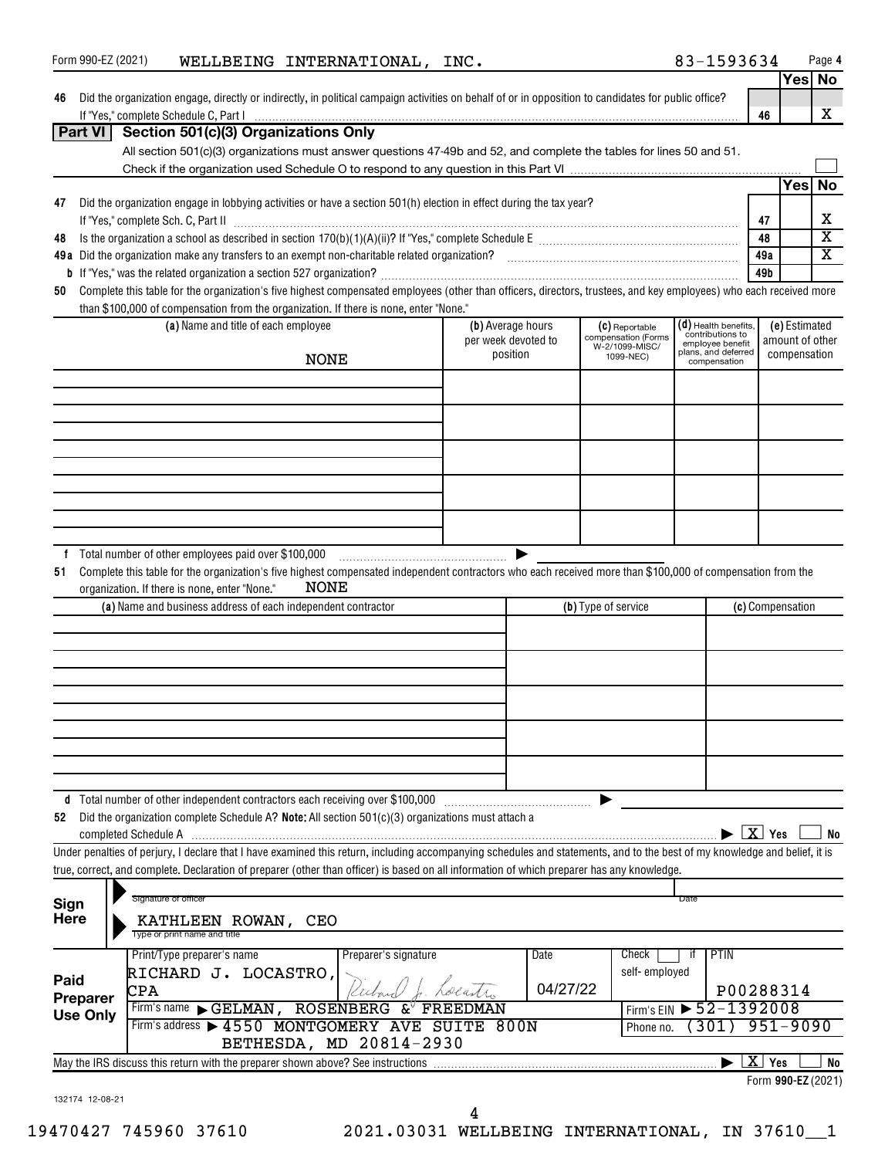| Form 990-EZ (2021) |                                                                                                                                                                                                                                                                                                                          | WELLBEING INTERNATIONAL, INC. |          |                                          |                                       | 83-1593634                                                     | Page 4                                                          |
|--------------------|--------------------------------------------------------------------------------------------------------------------------------------------------------------------------------------------------------------------------------------------------------------------------------------------------------------------------|-------------------------------|----------|------------------------------------------|---------------------------------------|----------------------------------------------------------------|-----------------------------------------------------------------|
| 46                 | Did the organization engage, directly or indirectly, in political campaign activities on behalf of or in opposition to candidates for public office?                                                                                                                                                                     |                               |          |                                          |                                       |                                                                | Yes<br><b>No</b><br>X<br>46                                     |
| Part VI            | Section 501(c)(3) Organizations Only                                                                                                                                                                                                                                                                                     |                               |          |                                          |                                       |                                                                |                                                                 |
|                    | All section 501(c)(3) organizations must answer questions 47-49b and 52, and complete the tables for lines 50 and 51.                                                                                                                                                                                                    |                               |          |                                          |                                       |                                                                |                                                                 |
|                    |                                                                                                                                                                                                                                                                                                                          |                               |          |                                          |                                       |                                                                | Yesl<br>No                                                      |
| 47                 | Did the organization engage in lobbying activities or have a section 501(h) election in effect during the tax year?                                                                                                                                                                                                      |                               |          |                                          |                                       |                                                                |                                                                 |
|                    |                                                                                                                                                                                                                                                                                                                          |                               |          |                                          |                                       |                                                                | х<br>47                                                         |
| 48                 |                                                                                                                                                                                                                                                                                                                          |                               |          |                                          |                                       |                                                                | $\overline{\texttt{x}}$<br>48<br>$\overline{\mathbf{x}}$<br>49a |
|                    |                                                                                                                                                                                                                                                                                                                          |                               |          |                                          |                                       |                                                                | 49b                                                             |
| 50                 | Complete this table for the organization's five highest compensated employees (other than officers, directors, trustees, and key employees) who each received more                                                                                                                                                       |                               |          |                                          |                                       |                                                                |                                                                 |
|                    | than \$100,000 of compensation from the organization. If there is none, enter "None."                                                                                                                                                                                                                                    |                               |          |                                          |                                       |                                                                |                                                                 |
|                    | (a) Name and title of each employee                                                                                                                                                                                                                                                                                      |                               |          | (b) Average hours<br>per week devoted to | (C) Reportable<br>compensation (Forms | $(d)$ Health benefits,<br>contributions to<br>employee benefit | (e) Estimated<br>amount of other                                |
|                    |                                                                                                                                                                                                                                                                                                                          | <b>NONE</b>                   |          | position                                 | W-2/1099-MISC/<br>1099-NEC)           | plans, and deferred<br>compensation                            | compensation                                                    |
|                    |                                                                                                                                                                                                                                                                                                                          |                               |          |                                          |                                       |                                                                |                                                                 |
|                    |                                                                                                                                                                                                                                                                                                                          |                               |          |                                          |                                       |                                                                |                                                                 |
|                    |                                                                                                                                                                                                                                                                                                                          |                               |          |                                          |                                       |                                                                |                                                                 |
|                    |                                                                                                                                                                                                                                                                                                                          |                               |          |                                          |                                       |                                                                |                                                                 |
|                    |                                                                                                                                                                                                                                                                                                                          |                               |          |                                          |                                       |                                                                |                                                                 |
|                    |                                                                                                                                                                                                                                                                                                                          |                               |          |                                          |                                       |                                                                |                                                                 |
|                    |                                                                                                                                                                                                                                                                                                                          |                               |          |                                          |                                       |                                                                |                                                                 |
|                    |                                                                                                                                                                                                                                                                                                                          |                               |          |                                          |                                       |                                                                |                                                                 |
| Ť.<br>51           | Complete this table for the organization's five highest compensated independent contractors who each received more than \$100,000 of compensation from the<br>organization. If there is none, enter "None."                                                                                                              | <b>NONE</b>                   |          |                                          |                                       |                                                                |                                                                 |
|                    | (a) Name and business address of each independent contractor                                                                                                                                                                                                                                                             |                               |          |                                          | (b) Type of service                   |                                                                | (c) Compensation                                                |
|                    |                                                                                                                                                                                                                                                                                                                          |                               |          |                                          |                                       |                                                                |                                                                 |
|                    |                                                                                                                                                                                                                                                                                                                          |                               |          |                                          |                                       |                                                                |                                                                 |
|                    |                                                                                                                                                                                                                                                                                                                          |                               |          |                                          |                                       |                                                                |                                                                 |
|                    |                                                                                                                                                                                                                                                                                                                          |                               |          |                                          |                                       |                                                                |                                                                 |
|                    |                                                                                                                                                                                                                                                                                                                          |                               |          |                                          |                                       |                                                                |                                                                 |
|                    |                                                                                                                                                                                                                                                                                                                          |                               |          |                                          |                                       |                                                                |                                                                 |
|                    |                                                                                                                                                                                                                                                                                                                          |                               |          |                                          |                                       |                                                                |                                                                 |
|                    | d Total number of other independent contractors each receiving over \$100,000                                                                                                                                                                                                                                            |                               |          |                                          |                                       |                                                                |                                                                 |
| 52                 | Did the organization complete Schedule A? Note: All section 501(c)(3) organizations must attach a                                                                                                                                                                                                                        |                               |          |                                          |                                       |                                                                |                                                                 |
|                    |                                                                                                                                                                                                                                                                                                                          |                               |          |                                          |                                       |                                                                | $\overline{X}$ Yes<br>No                                        |
|                    | Under penalties of perjury, I declare that I have examined this return, including accompanying schedules and statements, and to the best of my knowledge and belief, it is<br>true, correct, and complete. Declaration of preparer (other than officer) is based on all information of which preparer has any knowledge. |                               |          |                                          |                                       |                                                                |                                                                 |
|                    |                                                                                                                                                                                                                                                                                                                          |                               |          |                                          |                                       |                                                                |                                                                 |
| Sign               | Signature of officer                                                                                                                                                                                                                                                                                                     |                               |          |                                          |                                       | Date                                                           |                                                                 |
| <b>Here</b>        | KATHLEEN ROWAN, CEO<br>Type or print name and title                                                                                                                                                                                                                                                                      |                               |          |                                          |                                       |                                                                |                                                                 |
|                    | Print/Type preparer's name                                                                                                                                                                                                                                                                                               | Preparer's signature          |          | Date                                     | Check                                 | PTIN<br>if                                                     |                                                                 |
| Paid               | RICHARD J. LOCASTRO,                                                                                                                                                                                                                                                                                                     |                               |          |                                          | self-employed                         |                                                                |                                                                 |
| Preparer           | CPA                                                                                                                                                                                                                                                                                                                      |                               |          | 04/27/22                                 |                                       |                                                                | P00288314                                                       |
| <b>Use Only</b>    | Firm's name GELMAN, ROSENBERG $\&^{\triangledown}$                                                                                                                                                                                                                                                                       |                               | FREEDMAN |                                          | Firm's EIN                            | $52 - 1392008$                                                 |                                                                 |
|                    | Firm's address > 4550 MONTGOMERY AVE SUITE 800N                                                                                                                                                                                                                                                                          | BETHESDA, MD 20814-2930       |          |                                          | Phone no.                             | 301)                                                           | $951 - 9090$                                                    |
|                    | May the IRS discuss this return with the preparer shown above? See instructions                                                                                                                                                                                                                                          |                               |          |                                          |                                       |                                                                | $X$ Yes<br>No                                                   |
|                    |                                                                                                                                                                                                                                                                                                                          |                               |          |                                          |                                       |                                                                | Form 990-EZ (2021)                                              |
| 132174 12-08-21    |                                                                                                                                                                                                                                                                                                                          |                               |          |                                          |                                       |                                                                |                                                                 |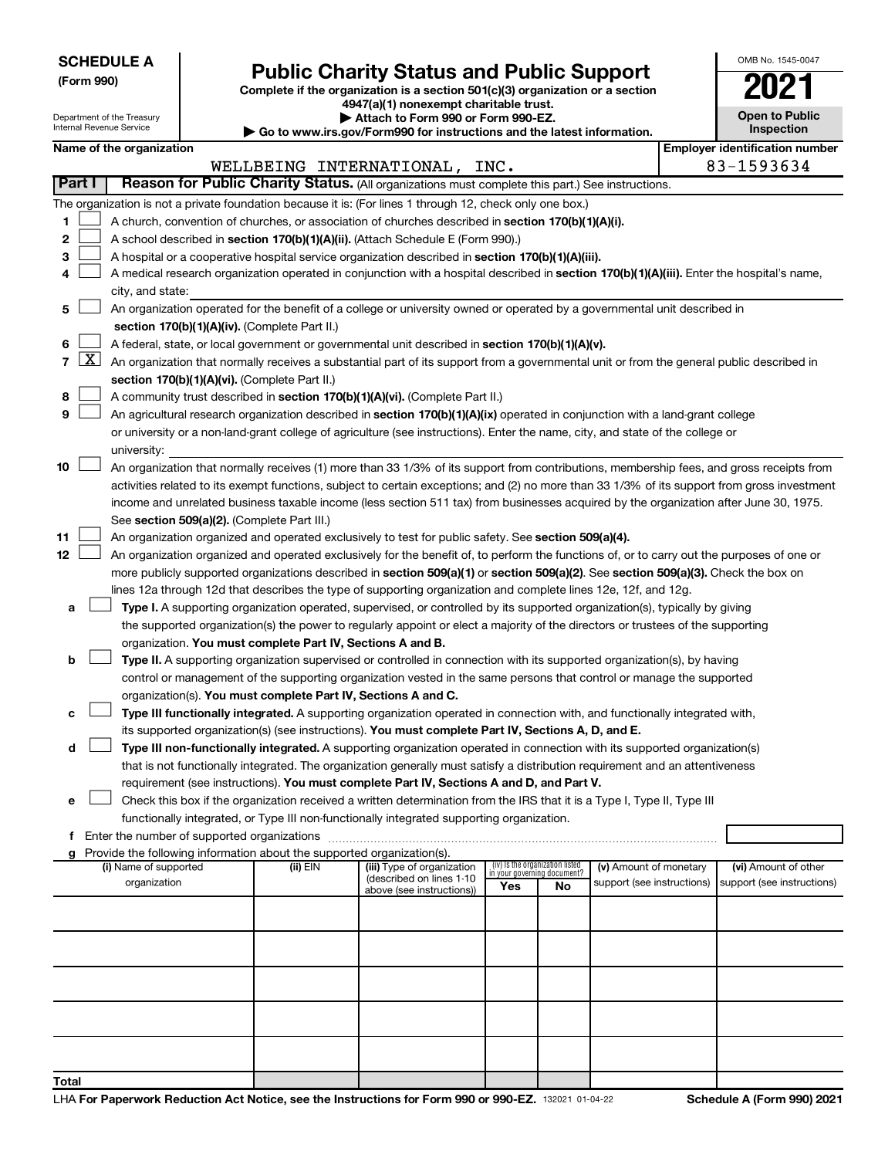Department of the Treasury Internal Revenue Service

# Form 990)<br>
Complete if the organization is a section 501(c)(3) organization or a section<br> **Public Charity Status and Public Support**

**4947(a)(1) nonexempt charitable trust. | Attach to Form 990 or Form 990-EZ.** 

**| Go to www.irs.gov/Form990 for instructions and the latest information.**

| OMB No. 1545-0047                   |
|-------------------------------------|
|                                     |
| <b>Open to Public</b><br>Inspection |

 $\blacksquare$ 

**Name of the organization** 

|                |               |                                                                                                                                                                                       |          | WELLBEING INTERNATIONAL, INC.                         |                                                                |    |                            | 83-1593634                 |  |
|----------------|---------------|---------------------------------------------------------------------------------------------------------------------------------------------------------------------------------------|----------|-------------------------------------------------------|----------------------------------------------------------------|----|----------------------------|----------------------------|--|
|                | <b>Part I</b> | Reason for Public Charity Status. (All organizations must complete this part.) See instructions.                                                                                      |          |                                                       |                                                                |    |                            |                            |  |
|                |               | The organization is not a private foundation because it is: (For lines 1 through 12, check only one box.)                                                                             |          |                                                       |                                                                |    |                            |                            |  |
| 1              |               | A church, convention of churches, or association of churches described in section 170(b)(1)(A)(i).                                                                                    |          |                                                       |                                                                |    |                            |                            |  |
| 2              |               | A school described in section 170(b)(1)(A)(ii). (Attach Schedule E (Form 990).)                                                                                                       |          |                                                       |                                                                |    |                            |                            |  |
| 3              |               | A hospital or a cooperative hospital service organization described in section 170(b)(1)(A)(iii).                                                                                     |          |                                                       |                                                                |    |                            |                            |  |
| 4              |               | A medical research organization operated in conjunction with a hospital described in section 170(b)(1)(A)(iii). Enter the hospital's name,                                            |          |                                                       |                                                                |    |                            |                            |  |
|                |               | city, and state:                                                                                                                                                                      |          |                                                       |                                                                |    |                            |                            |  |
| 5              |               | An organization operated for the benefit of a college or university owned or operated by a governmental unit described in                                                             |          |                                                       |                                                                |    |                            |                            |  |
|                |               | section 170(b)(1)(A)(iv). (Complete Part II.)                                                                                                                                         |          |                                                       |                                                                |    |                            |                            |  |
| 6              |               | A federal, state, or local government or governmental unit described in section 170(b)(1)(A)(v).                                                                                      |          |                                                       |                                                                |    |                            |                            |  |
| $\overline{7}$ | $\mathbf{X}$  | An organization that normally receives a substantial part of its support from a governmental unit or from the general public described in                                             |          |                                                       |                                                                |    |                            |                            |  |
|                |               | section 170(b)(1)(A)(vi). (Complete Part II.)                                                                                                                                         |          |                                                       |                                                                |    |                            |                            |  |
| 8              |               | A community trust described in section 170(b)(1)(A)(vi). (Complete Part II.)                                                                                                          |          |                                                       |                                                                |    |                            |                            |  |
| 9              |               | An agricultural research organization described in section 170(b)(1)(A)(ix) operated in conjunction with a land-grant college                                                         |          |                                                       |                                                                |    |                            |                            |  |
|                |               | or university or a non-land-grant college of agriculture (see instructions). Enter the name, city, and state of the college or                                                        |          |                                                       |                                                                |    |                            |                            |  |
|                |               | university:                                                                                                                                                                           |          |                                                       |                                                                |    |                            |                            |  |
| 10             |               | An organization that normally receives (1) more than 33 1/3% of its support from contributions, membership fees, and gross receipts from                                              |          |                                                       |                                                                |    |                            |                            |  |
|                |               | activities related to its exempt functions, subject to certain exceptions; and (2) no more than 33 1/3% of its support from gross investment                                          |          |                                                       |                                                                |    |                            |                            |  |
|                |               | income and unrelated business taxable income (less section 511 tax) from businesses acquired by the organization after June 30, 1975.                                                 |          |                                                       |                                                                |    |                            |                            |  |
|                |               | See section 509(a)(2). (Complete Part III.)                                                                                                                                           |          |                                                       |                                                                |    |                            |                            |  |
| 11             |               | An organization organized and operated exclusively to test for public safety. See section 509(a)(4).                                                                                  |          |                                                       |                                                                |    |                            |                            |  |
| 12             |               | An organization organized and operated exclusively for the benefit of, to perform the functions of, or to carry out the purposes of one or                                            |          |                                                       |                                                                |    |                            |                            |  |
|                |               | more publicly supported organizations described in section 509(a)(1) or section 509(a)(2). See section 509(a)(3). Check the box on                                                    |          |                                                       |                                                                |    |                            |                            |  |
|                |               | lines 12a through 12d that describes the type of supporting organization and complete lines 12e, 12f, and 12g.                                                                        |          |                                                       |                                                                |    |                            |                            |  |
| а              |               | Type I. A supporting organization operated, supervised, or controlled by its supported organization(s), typically by giving                                                           |          |                                                       |                                                                |    |                            |                            |  |
|                |               | the supported organization(s) the power to regularly appoint or elect a majority of the directors or trustees of the supporting                                                       |          |                                                       |                                                                |    |                            |                            |  |
| b              |               | organization. You must complete Part IV, Sections A and B.<br>Type II. A supporting organization supervised or controlled in connection with its supported organization(s), by having |          |                                                       |                                                                |    |                            |                            |  |
|                |               | control or management of the supporting organization vested in the same persons that control or manage the supported                                                                  |          |                                                       |                                                                |    |                            |                            |  |
|                |               | organization(s). You must complete Part IV, Sections A and C.                                                                                                                         |          |                                                       |                                                                |    |                            |                            |  |
| c              |               | Type III functionally integrated. A supporting organization operated in connection with, and functionally integrated with,                                                            |          |                                                       |                                                                |    |                            |                            |  |
|                |               | its supported organization(s) (see instructions). You must complete Part IV, Sections A, D, and E.                                                                                    |          |                                                       |                                                                |    |                            |                            |  |
| d              |               | Type III non-functionally integrated. A supporting organization operated in connection with its supported organization(s)                                                             |          |                                                       |                                                                |    |                            |                            |  |
|                |               | that is not functionally integrated. The organization generally must satisfy a distribution requirement and an attentiveness                                                          |          |                                                       |                                                                |    |                            |                            |  |
|                |               | requirement (see instructions). You must complete Part IV, Sections A and D, and Part V.                                                                                              |          |                                                       |                                                                |    |                            |                            |  |
| е              |               | Check this box if the organization received a written determination from the IRS that it is a Type I, Type II, Type III                                                               |          |                                                       |                                                                |    |                            |                            |  |
|                |               | functionally integrated, or Type III non-functionally integrated supporting organization.                                                                                             |          |                                                       |                                                                |    |                            |                            |  |
| f.             |               | Enter the number of supported organizations                                                                                                                                           |          |                                                       |                                                                |    |                            |                            |  |
| a              |               | Provide the following information about the supported organization(s).                                                                                                                |          |                                                       |                                                                |    |                            |                            |  |
|                |               | (i) Name of supported                                                                                                                                                                 | (ii) EIN | (iii) Type of organization                            | (iv) Is the organization listed<br>in your governing document? |    | (v) Amount of monetary     | (vi) Amount of other       |  |
|                |               | organization                                                                                                                                                                          |          | (described on lines 1-10<br>above (see instructions)) | Yes                                                            | No | support (see instructions) | support (see instructions) |  |
|                |               |                                                                                                                                                                                       |          |                                                       |                                                                |    |                            |                            |  |
|                |               |                                                                                                                                                                                       |          |                                                       |                                                                |    |                            |                            |  |
|                |               |                                                                                                                                                                                       |          |                                                       |                                                                |    |                            |                            |  |
|                |               |                                                                                                                                                                                       |          |                                                       |                                                                |    |                            |                            |  |
|                |               |                                                                                                                                                                                       |          |                                                       |                                                                |    |                            |                            |  |
|                |               |                                                                                                                                                                                       |          |                                                       |                                                                |    |                            |                            |  |
|                |               |                                                                                                                                                                                       |          |                                                       |                                                                |    |                            |                            |  |
|                |               |                                                                                                                                                                                       |          |                                                       |                                                                |    |                            |                            |  |
|                |               |                                                                                                                                                                                       |          |                                                       |                                                                |    |                            |                            |  |
|                |               |                                                                                                                                                                                       |          |                                                       |                                                                |    |                            |                            |  |
| <b>Total</b>   |               |                                                                                                                                                                                       |          |                                                       |                                                                |    |                            |                            |  |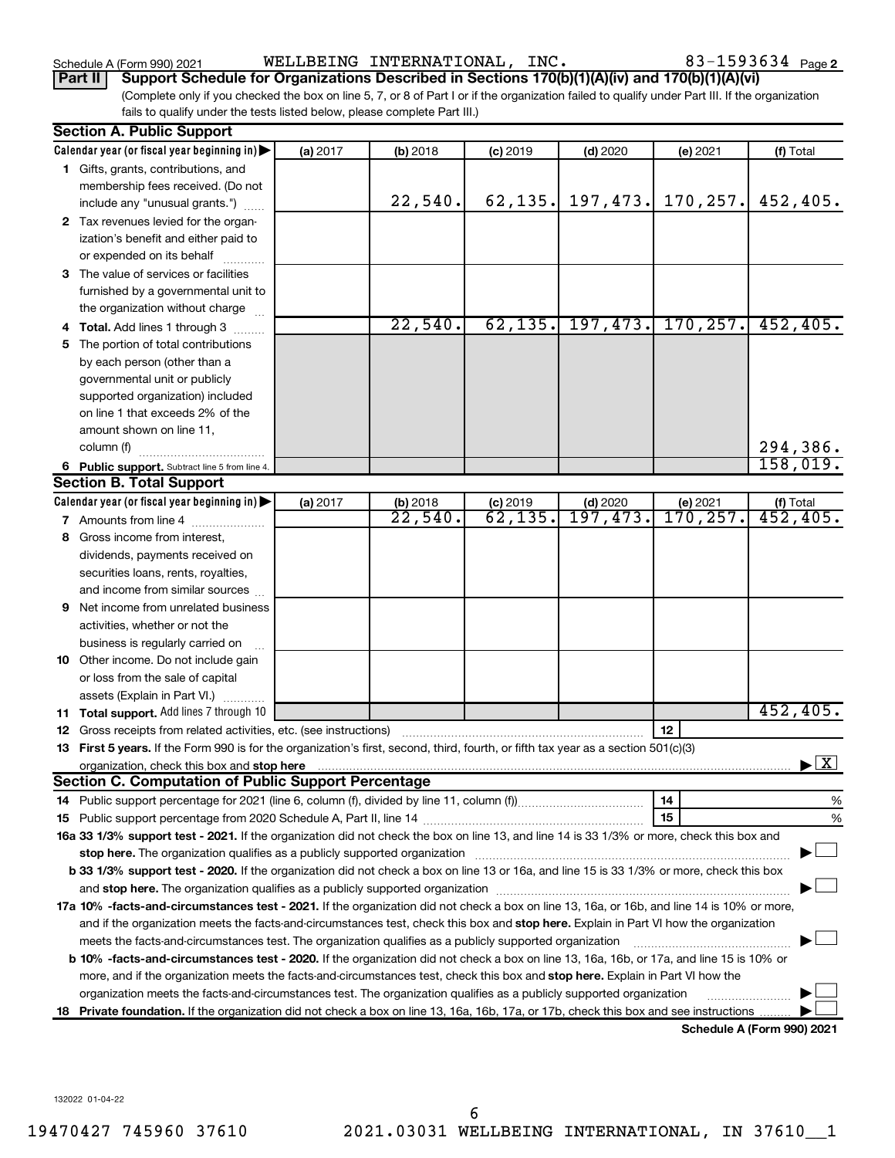Schedule A (Form 990) 2021 Page WELLBEING INTERNATIONAL, INC. 83-1593634

**Part II Support Schedule for Organizations Described in Sections 170(b)(1)(A)(iv) and 170(b)(1)(A)(vi)**

(Complete only if you checked the box on line 5, 7, or 8 of Part I or if the organization failed to qualify under Part III. If the organization fails to qualify under the tests listed below, please complete Part III.)

| <b>Section A. Public Support</b>                                                                                                                                                                                               |          |                        |            |            |                       |                                          |
|--------------------------------------------------------------------------------------------------------------------------------------------------------------------------------------------------------------------------------|----------|------------------------|------------|------------|-----------------------|------------------------------------------|
| Calendar year (or fiscal year beginning in)                                                                                                                                                                                    | (a) 2017 | $(b)$ 2018             | $(c)$ 2019 | $(d)$ 2020 | (e) 2021              | (f) Total                                |
| 1 Gifts, grants, contributions, and                                                                                                                                                                                            |          |                        |            |            |                       |                                          |
| membership fees received. (Do not                                                                                                                                                                                              |          |                        |            |            |                       |                                          |
| include any "unusual grants.")                                                                                                                                                                                                 |          | 22,540.                | 62, 135.   | 197, 473.  | 170, 257.             | 452,405.                                 |
| 2 Tax revenues levied for the organ-                                                                                                                                                                                           |          |                        |            |            |                       |                                          |
| ization's benefit and either paid to                                                                                                                                                                                           |          |                        |            |            |                       |                                          |
| or expended on its behalf                                                                                                                                                                                                      |          |                        |            |            |                       |                                          |
| 3 The value of services or facilities                                                                                                                                                                                          |          |                        |            |            |                       |                                          |
| furnished by a governmental unit to                                                                                                                                                                                            |          |                        |            |            |                       |                                          |
| the organization without charge                                                                                                                                                                                                |          |                        |            |            |                       |                                          |
| 4 Total. Add lines 1 through 3                                                                                                                                                                                                 |          | 22,540.                | 62, 135.   |            | $197, 473.$ 170, 257. | 452, 405.                                |
| 5 The portion of total contributions                                                                                                                                                                                           |          |                        |            |            |                       |                                          |
| by each person (other than a                                                                                                                                                                                                   |          |                        |            |            |                       |                                          |
| governmental unit or publicly                                                                                                                                                                                                  |          |                        |            |            |                       |                                          |
| supported organization) included                                                                                                                                                                                               |          |                        |            |            |                       |                                          |
| on line 1 that exceeds 2% of the                                                                                                                                                                                               |          |                        |            |            |                       |                                          |
| amount shown on line 11,                                                                                                                                                                                                       |          |                        |            |            |                       |                                          |
| column (f)                                                                                                                                                                                                                     |          |                        |            |            |                       | 294,386.                                 |
| 6 Public support. Subtract line 5 from line 4.                                                                                                                                                                                 |          |                        |            |            |                       | 158,019.                                 |
| <b>Section B. Total Support</b>                                                                                                                                                                                                |          |                        |            |            |                       |                                          |
| Calendar year (or fiscal year beginning in)                                                                                                                                                                                    | (a) 2017 | (b) 2018               | $(c)$ 2019 | $(d)$ 2020 | (e) 2021              |                                          |
| 7 Amounts from line 4                                                                                                                                                                                                          |          | $\overline{22}$ , 540. | 62,135.    | 197,473.   | 170,257 <b>.</b>      | (f) Total $452, 405$ .                   |
| 8 Gross income from interest.                                                                                                                                                                                                  |          |                        |            |            |                       |                                          |
| dividends, payments received on                                                                                                                                                                                                |          |                        |            |            |                       |                                          |
| securities loans, rents, royalties,                                                                                                                                                                                            |          |                        |            |            |                       |                                          |
| and income from similar sources                                                                                                                                                                                                |          |                        |            |            |                       |                                          |
| <b>9</b> Net income from unrelated business                                                                                                                                                                                    |          |                        |            |            |                       |                                          |
| activities, whether or not the                                                                                                                                                                                                 |          |                        |            |            |                       |                                          |
| business is regularly carried on                                                                                                                                                                                               |          |                        |            |            |                       |                                          |
| 10 Other income. Do not include gain                                                                                                                                                                                           |          |                        |            |            |                       |                                          |
| or loss from the sale of capital                                                                                                                                                                                               |          |                        |            |            |                       |                                          |
| assets (Explain in Part VI.)                                                                                                                                                                                                   |          |                        |            |            |                       |                                          |
| <b>11 Total support.</b> Add lines 7 through 10                                                                                                                                                                                |          |                        |            |            |                       | 452, 405.                                |
| <b>12</b> Gross receipts from related activities, etc. (see instructions)                                                                                                                                                      |          |                        |            |            | 12                    |                                          |
| 13 First 5 years. If the Form 990 is for the organization's first, second, third, fourth, or fifth tax year as a section 501(c)(3)                                                                                             |          |                        |            |            |                       |                                          |
|                                                                                                                                                                                                                                |          |                        |            |            |                       | $\blacktriangleright$ $\boxed{\text{X}}$ |
| <b>Section C. Computation of Public Support Percentage</b>                                                                                                                                                                     |          |                        |            |            |                       |                                          |
|                                                                                                                                                                                                                                |          |                        |            |            | 14                    | %                                        |
|                                                                                                                                                                                                                                |          |                        |            |            | 15                    | %                                        |
| 16a 33 1/3% support test - 2021. If the organization did not check the box on line 13, and line 14 is 33 1/3% or more, check this box and                                                                                      |          |                        |            |            |                       |                                          |
| stop here. The organization qualifies as a publicly supported organization manufactured content and the support of the state of the state of the state of the state of the state of the state of the state of the state of the |          |                        |            |            |                       |                                          |
| b 33 1/3% support test - 2020. If the organization did not check a box on line 13 or 16a, and line 15 is 33 1/3% or more, check this box                                                                                       |          |                        |            |            |                       |                                          |
|                                                                                                                                                                                                                                |          |                        |            |            |                       |                                          |
| 17a 10% -facts-and-circumstances test - 2021. If the organization did not check a box on line 13, 16a, or 16b, and line 14 is 10% or more,                                                                                     |          |                        |            |            |                       |                                          |
| and if the organization meets the facts-and-circumstances test, check this box and stop here. Explain in Part VI how the organization                                                                                          |          |                        |            |            |                       |                                          |
| meets the facts-and-circumstances test. The organization qualifies as a publicly supported organization                                                                                                                        |          |                        |            |            |                       |                                          |
| <b>b 10%</b> -facts-and-circumstances test - 2020. If the organization did not check a box on line 13, 16a, 16b, or 17a, and line 15 is 10% or                                                                                 |          |                        |            |            |                       |                                          |
| more, and if the organization meets the facts-and-circumstances test, check this box and <b>stop here.</b> Explain in Part VI how the                                                                                          |          |                        |            |            |                       |                                          |
| organization meets the facts-and-circumstances test. The organization qualifies as a publicly supported organization                                                                                                           |          |                        |            |            |                       |                                          |
| 18 Private foundation. If the organization did not check a box on line 13, 16a, 16b, 17a, or 17b, check this box and see instructions                                                                                          |          |                        |            |            |                       |                                          |
|                                                                                                                                                                                                                                |          |                        |            |            |                       | Schedule A (Form 990) 2021               |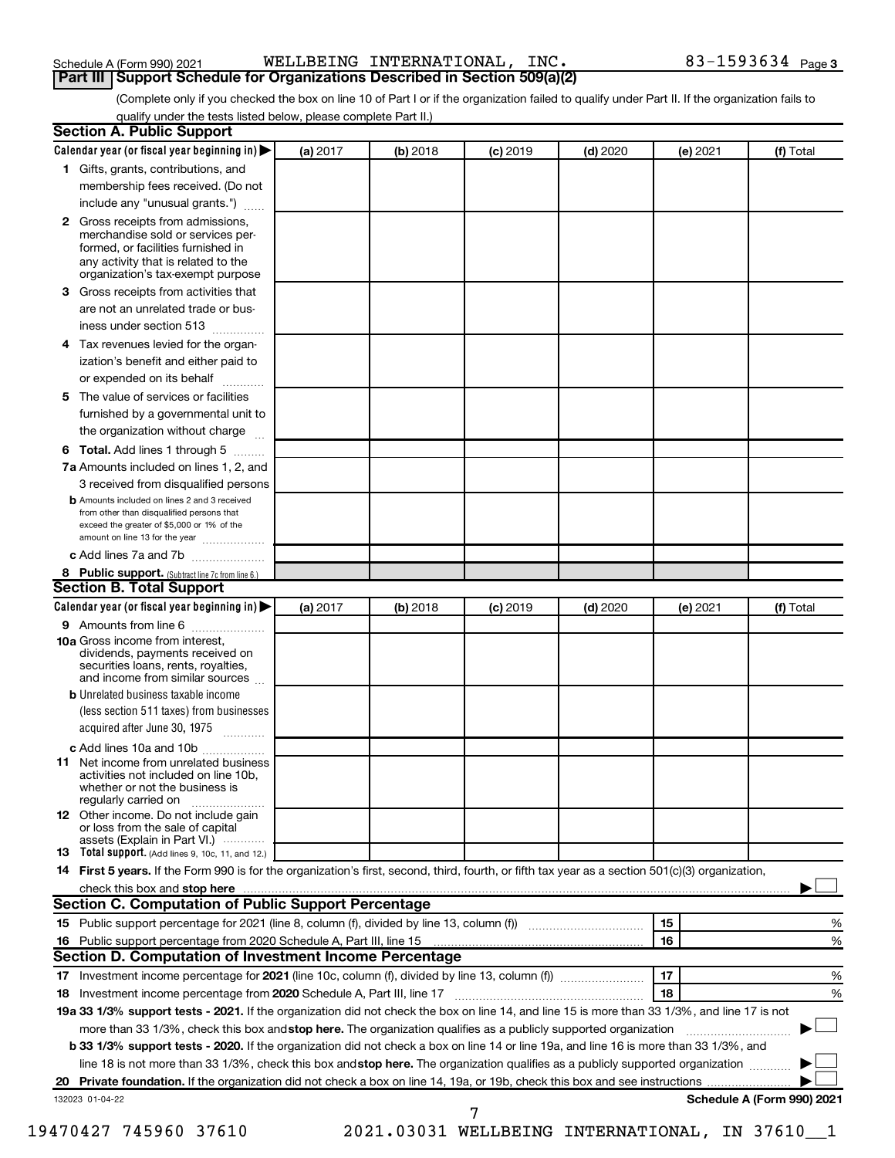| Schedule A (Form 990) 2021 |  |  |
|----------------------------|--|--|
|----------------------------|--|--|

| Schedule A (Form 990) 2021 |  |  |  | WELLBEING INTERNATIONAL, | INC. | 83-1593634 $_{Page 3}$ |  |
|----------------------------|--|--|--|--------------------------|------|------------------------|--|
|----------------------------|--|--|--|--------------------------|------|------------------------|--|

**Part III Support Schedule for Organizations Described in Section 509(a)(2)** 

(Complete only if you checked the box on line 10 of Part I or if the organization failed to qualify under Part II. If the organization fails to qualify under the tests listed below, please complete Part II.)

| $\mathbf{2}$ | 1 Gifts, grants, contributions, and<br>membership fees received. (Do not<br>include any "unusual grants.")                                                                       |          |          |            |            |    |          |                            |   |
|--------------|----------------------------------------------------------------------------------------------------------------------------------------------------------------------------------|----------|----------|------------|------------|----|----------|----------------------------|---|
|              |                                                                                                                                                                                  |          |          |            |            |    |          |                            |   |
|              |                                                                                                                                                                                  |          |          |            |            |    |          |                            |   |
|              |                                                                                                                                                                                  |          |          |            |            |    |          |                            |   |
|              | Gross receipts from admissions,<br>merchandise sold or services per-<br>formed, or facilities furnished in<br>any activity that is related to the                                |          |          |            |            |    |          |                            |   |
|              | organization's tax-exempt purpose                                                                                                                                                |          |          |            |            |    |          |                            |   |
| 3            | Gross receipts from activities that                                                                                                                                              |          |          |            |            |    |          |                            |   |
|              | are not an unrelated trade or bus-<br>iness under section 513                                                                                                                    |          |          |            |            |    |          |                            |   |
| 4            | Tax revenues levied for the organ-                                                                                                                                               |          |          |            |            |    |          |                            |   |
|              | ization's benefit and either paid to<br>or expended on its behalf<br>.                                                                                                           |          |          |            |            |    |          |                            |   |
| 5            | The value of services or facilities                                                                                                                                              |          |          |            |            |    |          |                            |   |
|              | furnished by a governmental unit to                                                                                                                                              |          |          |            |            |    |          |                            |   |
|              | the organization without charge                                                                                                                                                  |          |          |            |            |    |          |                            |   |
| 6            | Total. Add lines 1 through 5                                                                                                                                                     |          |          |            |            |    |          |                            |   |
|              | 7a Amounts included on lines 1, 2, and                                                                                                                                           |          |          |            |            |    |          |                            |   |
|              | 3 received from disqualified persons                                                                                                                                             |          |          |            |            |    |          |                            |   |
|              | <b>b</b> Amounts included on lines 2 and 3 received<br>from other than disqualified persons that<br>exceed the greater of \$5,000 or 1% of the<br>amount on line 13 for the year |          |          |            |            |    |          |                            |   |
|              | c Add lines 7a and 7b                                                                                                                                                            |          |          |            |            |    |          |                            |   |
|              | 8 Public support. (Subtract line 7c from line 6.)                                                                                                                                |          |          |            |            |    |          |                            |   |
|              | <b>Section B. Total Support</b>                                                                                                                                                  |          |          |            |            |    |          |                            |   |
|              | Calendar year (or fiscal year beginning in)                                                                                                                                      | (a) 2017 | (b) 2018 | $(c)$ 2019 | $(d)$ 2020 |    | (e) 2021 | (f) Total                  |   |
|              | 9 Amounts from line 6                                                                                                                                                            |          |          |            |            |    |          |                            |   |
|              | <b>10a</b> Gross income from interest,<br>dividends, payments received on<br>securities loans, rents, royalties,<br>and income from similar sources                              |          |          |            |            |    |          |                            |   |
|              | <b>b</b> Unrelated business taxable income                                                                                                                                       |          |          |            |            |    |          |                            |   |
|              | (less section 511 taxes) from businesses<br>acquired after June 30, 1975                                                                                                         |          |          |            |            |    |          |                            |   |
|              | c Add lines 10a and 10b                                                                                                                                                          |          |          |            |            |    |          |                            |   |
| 11           | Net income from unrelated business<br>activities not included on line 10b.<br>whether or not the business is<br>regularly carried on                                             |          |          |            |            |    |          |                            |   |
|              | <b>12</b> Other income. Do not include gain<br>or loss from the sale of capital                                                                                                  |          |          |            |            |    |          |                            |   |
|              | assets (Explain in Part VI.)<br>13 Total support. (Add lines 9, 10c, 11, and 12.)                                                                                                |          |          |            |            |    |          |                            |   |
|              | 14 First 5 years. If the Form 990 is for the organization's first, second, third, fourth, or fifth tax year as a section 501(c)(3) organization,                                 |          |          |            |            |    |          |                            |   |
|              |                                                                                                                                                                                  |          |          |            |            |    |          |                            |   |
|              | Section C. Computation of Public Support Percentage                                                                                                                              |          |          |            |            |    |          |                            |   |
|              |                                                                                                                                                                                  |          |          |            |            | 15 |          |                            | % |
|              |                                                                                                                                                                                  |          |          |            |            | 16 |          |                            | % |
|              | Section D. Computation of Investment Income Percentage                                                                                                                           |          |          |            |            |    |          |                            |   |
|              |                                                                                                                                                                                  |          |          |            |            | 17 |          |                            | % |
|              |                                                                                                                                                                                  |          |          |            |            | 18 |          |                            | % |
|              |                                                                                                                                                                                  |          |          |            |            |    |          |                            |   |
|              | 19a 33 1/3% support tests - 2021. If the organization did not check the box on line 14, and line 15 is more than 33 1/3%, and line 17 is not                                     |          |          |            |            |    |          |                            |   |
|              | more than 33 1/3%, check this box and stop here. The organization qualifies as a publicly supported organization                                                                 |          |          |            |            |    |          |                            |   |
|              | <b>b 33 1/3% support tests - 2020.</b> If the organization did not check a box on line 14 or line 19a, and line 16 is more than 33 1/3%, and                                     |          |          |            |            |    |          |                            |   |
|              | line 18 is not more than 33 1/3%, check this box and stop here. The organization qualifies as a publicly supported organization                                                  |          |          |            |            |    |          |                            |   |
|              |                                                                                                                                                                                  |          |          |            |            |    |          |                            |   |
|              | 132023 01-04-22                                                                                                                                                                  |          |          |            |            |    |          | Schedule A (Form 990) 2021 |   |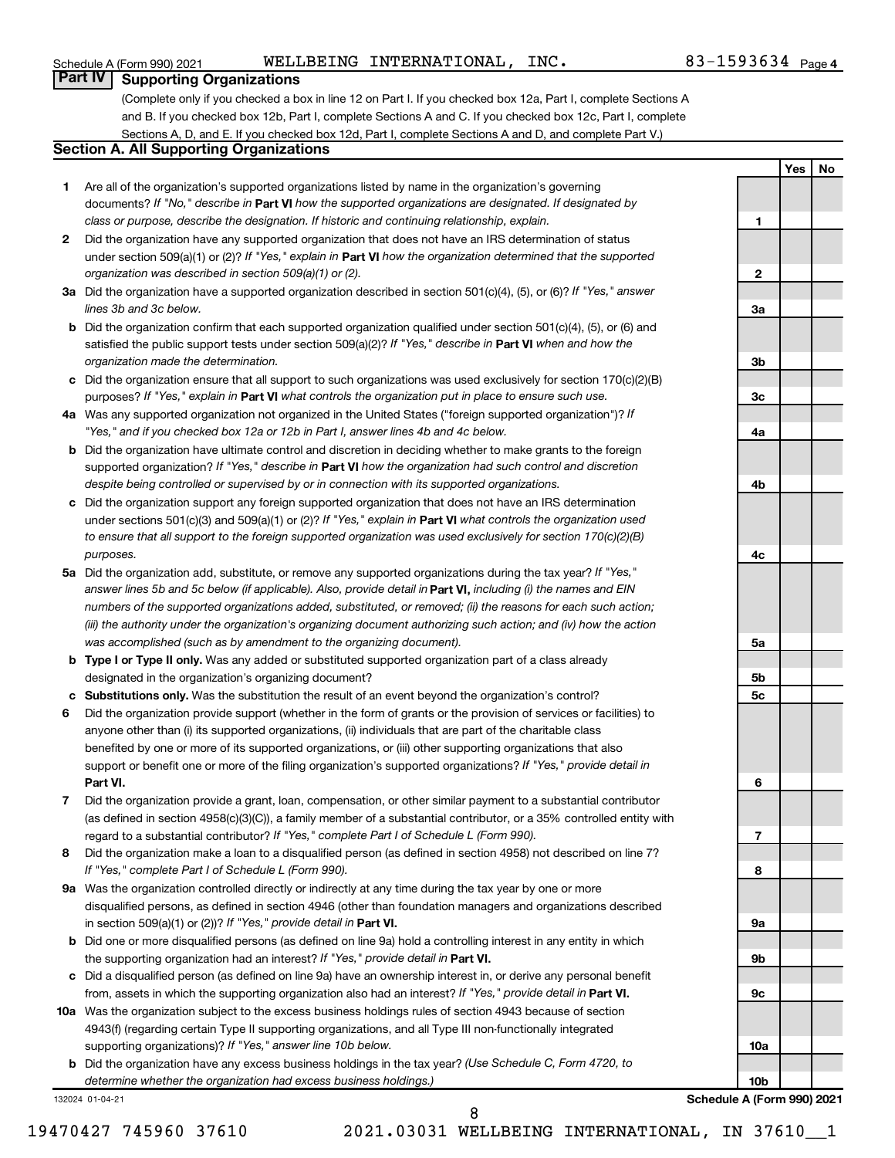#### Schedule A (Form 990) 2021 Page WELLBEING INTERNATIONAL, INC. 83-1593634

**1**

**2**

**3a**

**3b**

**3c**

**4a**

**4b**

**4c**

**5a**

**5b 5c**

**6**

**7**

**8**

**9a**

**9b**

**9c**

**10a**

**Yes No**

## **Part IV Supporting Organizations**

(Complete only if you checked a box in line 12 on Part I. If you checked box 12a, Part I, complete Sections A and B. If you checked box 12b, Part I, complete Sections A and C. If you checked box 12c, Part I, complete Sections A, D, and E. If you checked box 12d, Part I, complete Sections A and D, and complete Part V.)

#### **Section A. All Supporting Organizations**

- **1** Are all of the organization's supported organizations listed by name in the organization's governing documents? If "No," describe in Part VI how the supported organizations are designated. If designated by *class or purpose, describe the designation. If historic and continuing relationship, explain.*
- **2** Did the organization have any supported organization that does not have an IRS determination of status under section 509(a)(1) or (2)? If "Yes," explain in Part **VI** how the organization determined that the supported *organization was described in section 509(a)(1) or (2).*
- **3a** Did the organization have a supported organization described in section 501(c)(4), (5), or (6)? If "Yes," answer *lines 3b and 3c below.*
- **b** Did the organization confirm that each supported organization qualified under section 501(c)(4), (5), or (6) and satisfied the public support tests under section 509(a)(2)? If "Yes," describe in Part VI when and how the *organization made the determination.*
- **c** Did the organization ensure that all support to such organizations was used exclusively for section 170(c)(2)(B) purposes? If "Yes," explain in Part VI what controls the organization put in place to ensure such use.
- **4 a** *If* Was any supported organization not organized in the United States ("foreign supported organization")? *"Yes," and if you checked box 12a or 12b in Part I, answer lines 4b and 4c below.*
- **b** Did the organization have ultimate control and discretion in deciding whether to make grants to the foreign supported organization? If "Yes," describe in Part VI how the organization had such control and discretion *despite being controlled or supervised by or in connection with its supported organizations.*
- **c** Did the organization support any foreign supported organization that does not have an IRS determination under sections 501(c)(3) and 509(a)(1) or (2)? If "Yes," explain in Part VI what controls the organization used *to ensure that all support to the foreign supported organization was used exclusively for section 170(c)(2)(B) purposes.*
- **5a** Did the organization add, substitute, or remove any supported organizations during the tax year? If "Yes," answer lines 5b and 5c below (if applicable). Also, provide detail in **Part VI,** including (i) the names and EIN *numbers of the supported organizations added, substituted, or removed; (ii) the reasons for each such action; (iii) the authority under the organization's organizing document authorizing such action; and (iv) how the action was accomplished (such as by amendment to the organizing document).*
- **b Type I or Type II only.** Was any added or substituted supported organization part of a class already designated in the organization's organizing document?
- **c Substitutions only.**  Was the substitution the result of an event beyond the organization's control?
- **6** Did the organization provide support (whether in the form of grants or the provision of services or facilities) to **Part VI.** support or benefit one or more of the filing organization's supported organizations? If "Yes," provide detail in anyone other than (i) its supported organizations, (ii) individuals that are part of the charitable class benefited by one or more of its supported organizations, or (iii) other supporting organizations that also
- **7** Did the organization provide a grant, loan, compensation, or other similar payment to a substantial contributor regard to a substantial contributor? If "Yes," complete Part I of Schedule L (Form 990). (as defined in section 4958(c)(3)(C)), a family member of a substantial contributor, or a 35% controlled entity with
- **8** Did the organization make a loan to a disqualified person (as defined in section 4958) not described on line 7? *If "Yes," complete Part I of Schedule L (Form 990).*
- **9 a** Was the organization controlled directly or indirectly at any time during the tax year by one or more in section 509(a)(1) or (2))? If "Yes," provide detail in **Part VI.** disqualified persons, as defined in section 4946 (other than foundation managers and organizations described
- **b** Did one or more disqualified persons (as defined on line 9a) hold a controlling interest in any entity in which the supporting organization had an interest? If "Yes," provide detail in Part VI.
- **c** Did a disqualified person (as defined on line 9a) have an ownership interest in, or derive any personal benefit from, assets in which the supporting organization also had an interest? If "Yes," provide detail in Part VI.
- **10 a** Was the organization subject to the excess business holdings rules of section 4943 because of section supporting organizations)? If "Yes," answer line 10b below. 4943(f) (regarding certain Type II supporting organizations, and all Type III non-functionally integrated
	- **b** Did the organization have any excess business holdings in the tax year? (Use Schedule C, Form 4720, to *determine whether the organization had excess business holdings.)*

132024 01-04-21

19470427 745960 37610 2021.03031 WELLBEING INTERNATIONAL, IN 37610\_\_1 8

**10b Schedule A (Form 990) 2021**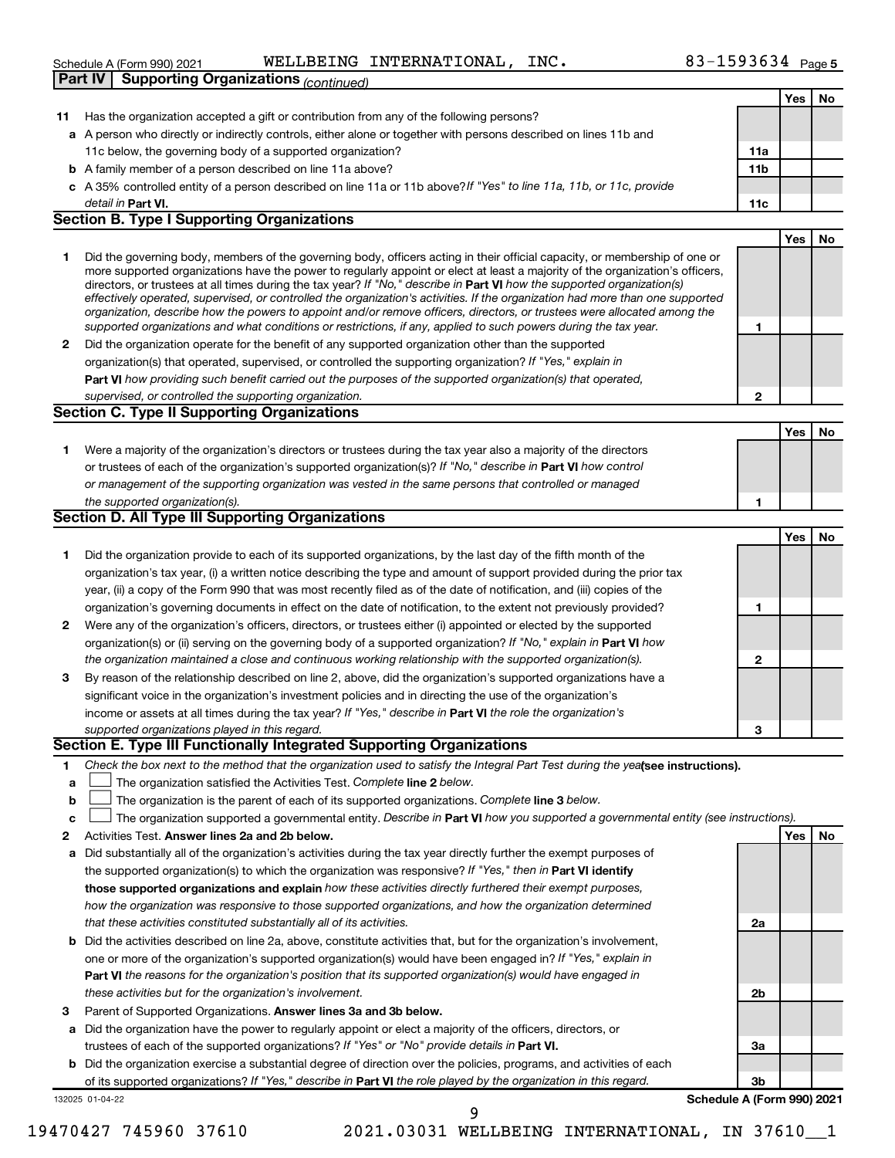|              | $83 - 1593634$ Page 5<br>WELLBEING INTERNATIONAL,<br>INC.<br>Schedule A (Form 990) 2021                                                                                                                                                                                                                                                                                                                                                                                                                                                                                                                                                              |                 |     |    |
|--------------|------------------------------------------------------------------------------------------------------------------------------------------------------------------------------------------------------------------------------------------------------------------------------------------------------------------------------------------------------------------------------------------------------------------------------------------------------------------------------------------------------------------------------------------------------------------------------------------------------------------------------------------------------|-----------------|-----|----|
|              | <b>Supporting Organizations (continued)</b><br><b>Part IV</b>                                                                                                                                                                                                                                                                                                                                                                                                                                                                                                                                                                                        |                 |     |    |
|              |                                                                                                                                                                                                                                                                                                                                                                                                                                                                                                                                                                                                                                                      |                 | Yes | No |
| 11           | Has the organization accepted a gift or contribution from any of the following persons?                                                                                                                                                                                                                                                                                                                                                                                                                                                                                                                                                              |                 |     |    |
|              | a A person who directly or indirectly controls, either alone or together with persons described on lines 11b and                                                                                                                                                                                                                                                                                                                                                                                                                                                                                                                                     |                 |     |    |
|              | 11c below, the governing body of a supported organization?                                                                                                                                                                                                                                                                                                                                                                                                                                                                                                                                                                                           | 11a             |     |    |
|              | <b>b</b> A family member of a person described on line 11a above?                                                                                                                                                                                                                                                                                                                                                                                                                                                                                                                                                                                    | 11 <sub>b</sub> |     |    |
|              | c A 35% controlled entity of a person described on line 11a or 11b above? If "Yes" to line 11a, 11b, or 11c, provide                                                                                                                                                                                                                                                                                                                                                                                                                                                                                                                                 |                 |     |    |
|              | detail in Part VI.                                                                                                                                                                                                                                                                                                                                                                                                                                                                                                                                                                                                                                   | 11c             |     |    |
|              | <b>Section B. Type I Supporting Organizations</b>                                                                                                                                                                                                                                                                                                                                                                                                                                                                                                                                                                                                    |                 |     |    |
|              |                                                                                                                                                                                                                                                                                                                                                                                                                                                                                                                                                                                                                                                      |                 | Yes | No |
| 1            | Did the governing body, members of the governing body, officers acting in their official capacity, or membership of one or<br>more supported organizations have the power to regularly appoint or elect at least a majority of the organization's officers,<br>directors, or trustees at all times during the tax year? If "No," describe in Part VI how the supported organization(s)<br>effectively operated, supervised, or controlled the organization's activities. If the organization had more than one supported<br>organization, describe how the powers to appoint and/or remove officers, directors, or trustees were allocated among the |                 |     |    |
|              | supported organizations and what conditions or restrictions, if any, applied to such powers during the tax year.                                                                                                                                                                                                                                                                                                                                                                                                                                                                                                                                     | 1               |     |    |
| $\mathbf{2}$ | Did the organization operate for the benefit of any supported organization other than the supported                                                                                                                                                                                                                                                                                                                                                                                                                                                                                                                                                  |                 |     |    |
|              | organization(s) that operated, supervised, or controlled the supporting organization? If "Yes," explain in                                                                                                                                                                                                                                                                                                                                                                                                                                                                                                                                           |                 |     |    |
|              | <b>Part VI</b> how providing such benefit carried out the purposes of the supported organization(s) that operated,                                                                                                                                                                                                                                                                                                                                                                                                                                                                                                                                   |                 |     |    |
|              | supervised, or controlled the supporting organization.                                                                                                                                                                                                                                                                                                                                                                                                                                                                                                                                                                                               | $\mathbf{2}$    |     |    |
|              | <b>Section C. Type II Supporting Organizations</b>                                                                                                                                                                                                                                                                                                                                                                                                                                                                                                                                                                                                   |                 |     |    |
|              |                                                                                                                                                                                                                                                                                                                                                                                                                                                                                                                                                                                                                                                      |                 | Yes | No |
| 1            | Were a majority of the organization's directors or trustees during the tax year also a majority of the directors                                                                                                                                                                                                                                                                                                                                                                                                                                                                                                                                     |                 |     |    |
|              | or trustees of each of the organization's supported organization(s)? If "No," describe in Part VI how control                                                                                                                                                                                                                                                                                                                                                                                                                                                                                                                                        |                 |     |    |
|              | or management of the supporting organization was vested in the same persons that controlled or managed                                                                                                                                                                                                                                                                                                                                                                                                                                                                                                                                               |                 |     |    |
|              | the supported organization(s).                                                                                                                                                                                                                                                                                                                                                                                                                                                                                                                                                                                                                       | 1               |     |    |
|              | <b>Section D. All Type III Supporting Organizations</b>                                                                                                                                                                                                                                                                                                                                                                                                                                                                                                                                                                                              |                 |     |    |
|              |                                                                                                                                                                                                                                                                                                                                                                                                                                                                                                                                                                                                                                                      |                 | Yes | No |
| 1            | Did the organization provide to each of its supported organizations, by the last day of the fifth month of the                                                                                                                                                                                                                                                                                                                                                                                                                                                                                                                                       |                 |     |    |
|              | organization's tax year, (i) a written notice describing the type and amount of support provided during the prior tax                                                                                                                                                                                                                                                                                                                                                                                                                                                                                                                                |                 |     |    |
|              | year, (ii) a copy of the Form 990 that was most recently filed as of the date of notification, and (iii) copies of the                                                                                                                                                                                                                                                                                                                                                                                                                                                                                                                               |                 |     |    |
|              | organization's governing documents in effect on the date of notification, to the extent not previously provided?                                                                                                                                                                                                                                                                                                                                                                                                                                                                                                                                     | 1               |     |    |
| $\mathbf{2}$ | Were any of the organization's officers, directors, or trustees either (i) appointed or elected by the supported                                                                                                                                                                                                                                                                                                                                                                                                                                                                                                                                     |                 |     |    |
|              | organization(s) or (ii) serving on the governing body of a supported organization? If "No," explain in Part VI how                                                                                                                                                                                                                                                                                                                                                                                                                                                                                                                                   |                 |     |    |
|              | the organization maintained a close and continuous working relationship with the supported organization(s).                                                                                                                                                                                                                                                                                                                                                                                                                                                                                                                                          | $\mathbf{2}$    |     |    |
| 3            | By reason of the relationship described on line 2, above, did the organization's supported organizations have a                                                                                                                                                                                                                                                                                                                                                                                                                                                                                                                                      |                 |     |    |
|              | significant voice in the organization's investment policies and in directing the use of the organization's                                                                                                                                                                                                                                                                                                                                                                                                                                                                                                                                           |                 |     |    |
|              | income or assets at all times during the tax year? If "Yes," describe in Part VI the role the organization's                                                                                                                                                                                                                                                                                                                                                                                                                                                                                                                                         |                 |     |    |
|              | supported organizations played in this regard.                                                                                                                                                                                                                                                                                                                                                                                                                                                                                                                                                                                                       | 3               |     |    |
|              | Section E. Type III Functionally Integrated Supporting Organizations                                                                                                                                                                                                                                                                                                                                                                                                                                                                                                                                                                                 |                 |     |    |
| 1            | Check the box next to the method that the organization used to satisfy the Integral Part Test during the yealgee instructions).                                                                                                                                                                                                                                                                                                                                                                                                                                                                                                                      |                 |     |    |
| a            | The organization satisfied the Activities Test. Complete line 2 below.                                                                                                                                                                                                                                                                                                                                                                                                                                                                                                                                                                               |                 |     |    |
| b            | The organization is the parent of each of its supported organizations. Complete line 3 below.                                                                                                                                                                                                                                                                                                                                                                                                                                                                                                                                                        |                 |     |    |
|              |                                                                                                                                                                                                                                                                                                                                                                                                                                                                                                                                                                                                                                                      |                 |     |    |

- **c**  $\Box$  The organization supported a governmental entity. Describe in Part VI how you supported a governmental entity (see instructions).
- **2 Answer lines 2a and 2b below. Yes No** Activities Test.
- **a** Did substantially all of the organization's activities during the tax year directly further the exempt purposes of the supported organization(s) to which the organization was responsive? If "Yes," then in Part VI identify **those supported organizations and explain**  *how these activities directly furthered their exempt purposes, how the organization was responsive to those supported organizations, and how the organization determined that these activities constituted substantially all of its activities.*
- **b** Did the activities described on line 2a, above, constitute activities that, but for the organization's involvement, **Part VI**  *the reasons for the organization's position that its supported organization(s) would have engaged in* one or more of the organization's supported organization(s) would have been engaged in? If "Yes," explain in *these activities but for the organization's involvement.*
- 3 Parent of Supported Organizations. Answer lines 3a and 3b below.
- **a** Did the organization have the power to regularly appoint or elect a majority of the officers, directors, or trustees of each of the supported organizations? If "Yes" or "No" provide details in Part VI.
- **b** Did the organization exercise a substantial degree of direction over the policies, programs, and activities of each of its supported organizations? If "Yes," describe in Part VI the role played by the organization in this regard.

132025 01-04-22

**3b Schedule A (Form 990) 2021**

**2a**

**2b**

**3a**

19470427 745960 37610 2021.03031 WELLBEING INTERNATIONAL, IN 37610\_\_1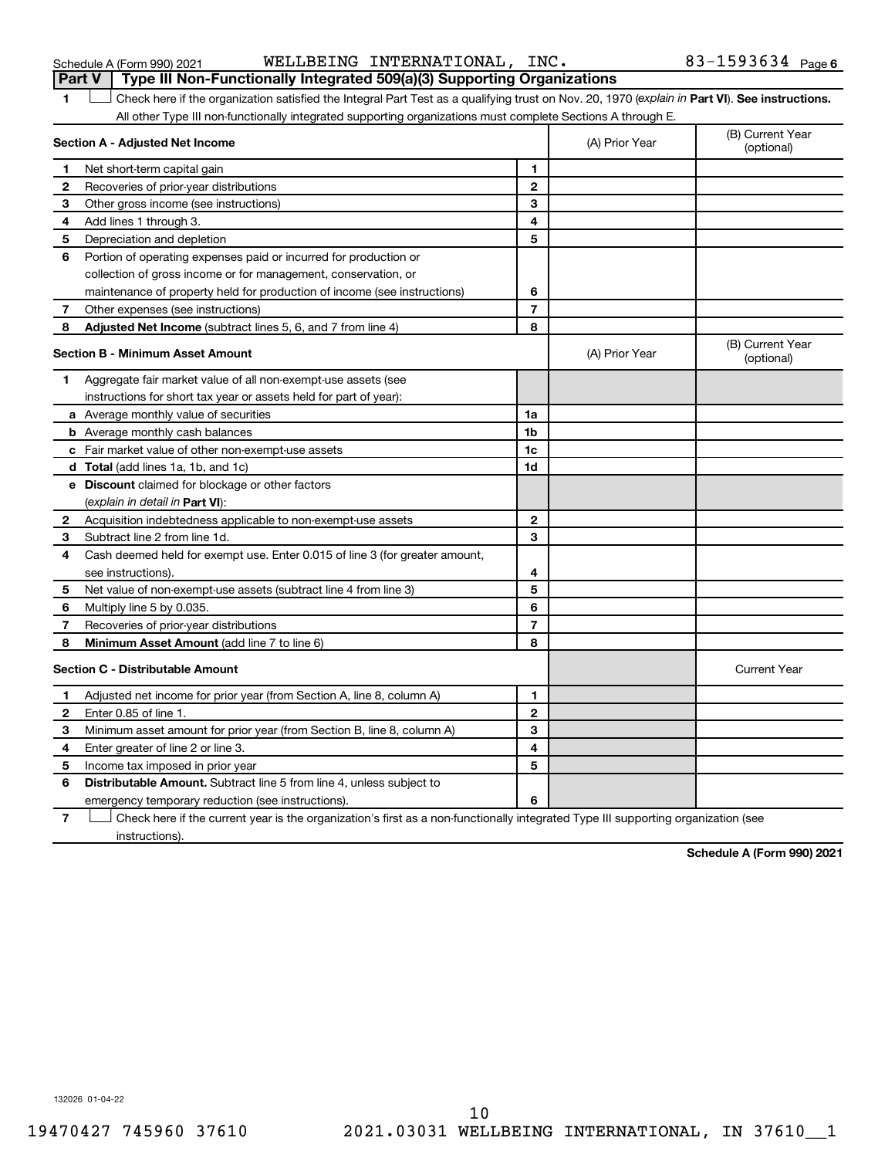Schedule A (Form 990) 2021 WELLLBEING INTERNATIONAL,INC。 83-1593634 Page WELLBEING INTERNATIONAL, INC. 83-1593634

|                                         | Part V<br>Type III Non-Functionally Integrated 509(a)(3) Supporting Organizations                                                              |                |                |                                |  |
|-----------------------------------------|------------------------------------------------------------------------------------------------------------------------------------------------|----------------|----------------|--------------------------------|--|
| 1.                                      | Check here if the organization satisfied the Integral Part Test as a qualifying trust on Nov. 20, 1970 (explain in Part VI). See instructions. |                |                |                                |  |
|                                         | All other Type III non-functionally integrated supporting organizations must complete Sections A through E.                                    |                |                |                                |  |
|                                         | Section A - Adjusted Net Income                                                                                                                |                | (A) Prior Year | (B) Current Year<br>(optional) |  |
| 1                                       | Net short-term capital gain                                                                                                                    | 1              |                |                                |  |
| 2                                       | Recoveries of prior-year distributions                                                                                                         | $\mathbf{2}$   |                |                                |  |
| 3                                       | Other gross income (see instructions)                                                                                                          | 3              |                |                                |  |
| 4                                       | Add lines 1 through 3.                                                                                                                         | 4              |                |                                |  |
| 5                                       | Depreciation and depletion                                                                                                                     | 5              |                |                                |  |
| 6                                       | Portion of operating expenses paid or incurred for production or                                                                               |                |                |                                |  |
|                                         | collection of gross income or for management, conservation, or                                                                                 |                |                |                                |  |
|                                         | maintenance of property held for production of income (see instructions)                                                                       | 6              |                |                                |  |
| 7                                       | Other expenses (see instructions)                                                                                                              | $\overline{7}$ |                |                                |  |
| 8                                       | <b>Adjusted Net Income</b> (subtract lines 5, 6, and 7 from line 4)                                                                            | 8              |                |                                |  |
|                                         | <b>Section B - Minimum Asset Amount</b>                                                                                                        |                | (A) Prior Year | (B) Current Year<br>(optional) |  |
| 1                                       | Aggregate fair market value of all non-exempt-use assets (see                                                                                  |                |                |                                |  |
|                                         | instructions for short tax year or assets held for part of year):                                                                              |                |                |                                |  |
|                                         | a Average monthly value of securities                                                                                                          | 1a             |                |                                |  |
|                                         | <b>b</b> Average monthly cash balances                                                                                                         | 1b             |                |                                |  |
|                                         | c Fair market value of other non-exempt-use assets                                                                                             | 1c             |                |                                |  |
|                                         | <b>d</b> Total (add lines 1a, 1b, and 1c)                                                                                                      | 1d             |                |                                |  |
|                                         | e Discount claimed for blockage or other factors                                                                                               |                |                |                                |  |
|                                         | (explain in detail in <b>Part VI</b> ):                                                                                                        |                |                |                                |  |
| 2                                       | Acquisition indebtedness applicable to non-exempt-use assets                                                                                   | 2              |                |                                |  |
| З                                       | Subtract line 2 from line 1d.                                                                                                                  | 3              |                |                                |  |
| 4                                       | Cash deemed held for exempt use. Enter 0.015 of line 3 (for greater amount,                                                                    |                |                |                                |  |
|                                         | see instructions).                                                                                                                             | 4              |                |                                |  |
| 5                                       | Net value of non-exempt-use assets (subtract line 4 from line 3)                                                                               | 5              |                |                                |  |
| 6                                       | Multiply line 5 by 0.035.                                                                                                                      | 6              |                |                                |  |
| 7                                       | Recoveries of prior-year distributions                                                                                                         | $\overline{7}$ |                |                                |  |
| 8                                       | Minimum Asset Amount (add line 7 to line 6)                                                                                                    | 8              |                |                                |  |
| <b>Section C - Distributable Amount</b> |                                                                                                                                                |                |                | <b>Current Year</b>            |  |
| 1                                       | Adjusted net income for prior year (from Section A, line 8, column A)                                                                          | 1              |                |                                |  |
| $\mathbf{2}$                            | Enter 0.85 of line 1.                                                                                                                          | $\mathbf 2$    |                |                                |  |
| 3                                       | Minimum asset amount for prior year (from Section B, line 8, column A)                                                                         | 3              |                |                                |  |
| 4                                       | Enter greater of line 2 or line 3.                                                                                                             | 4              |                |                                |  |
| 5                                       | Income tax imposed in prior year                                                                                                               | 5              |                |                                |  |
| 6                                       | <b>Distributable Amount.</b> Subtract line 5 from line 4, unless subject to                                                                    |                |                |                                |  |
|                                         | emergency temporary reduction (see instructions).                                                                                              | 6              |                |                                |  |
|                                         |                                                                                                                                                |                |                |                                |  |

**7** Check here if the current year is the organization's first as a non-functionally integrated Type III supporting organization (see † instructions).

**Schedule A (Form 990) 2021**

132026 01-04-22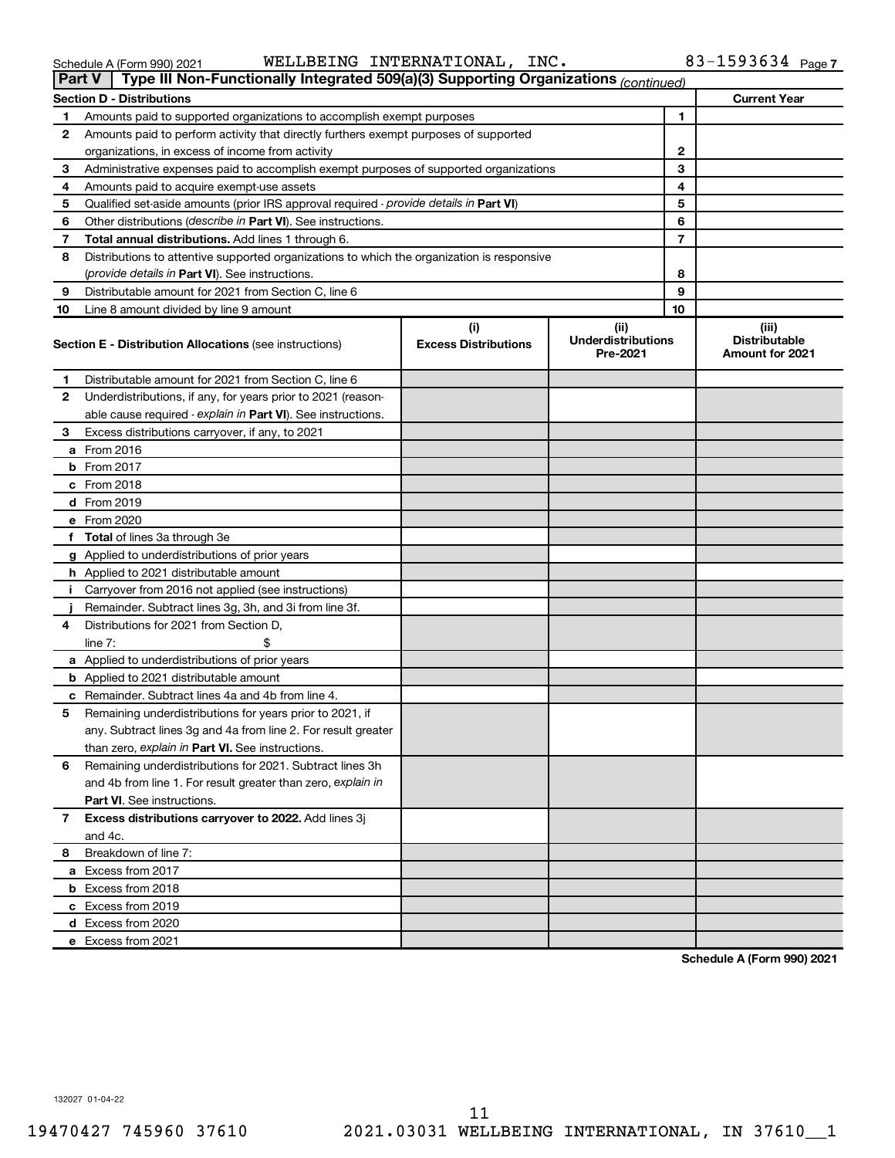#### Schedule A (Form 990) 2021 Page WELLBEING INTERNATIONAL, INC. 83-1593634

| <b>Part V</b> | Type III Non-Functionally Integrated 509(a)(3) Supporting Organizations (continued)        |                                    |                                               |    |                                                         |
|---------------|--------------------------------------------------------------------------------------------|------------------------------------|-----------------------------------------------|----|---------------------------------------------------------|
|               | <b>Section D - Distributions</b>                                                           |                                    |                                               |    | <b>Current Year</b>                                     |
| 1             | Amounts paid to supported organizations to accomplish exempt purposes                      |                                    | 1                                             |    |                                                         |
| 2             | Amounts paid to perform activity that directly furthers exempt purposes of supported       |                                    |                                               |    |                                                         |
|               | organizations, in excess of income from activity                                           |                                    | 2                                             |    |                                                         |
| 3             | Administrative expenses paid to accomplish exempt purposes of supported organizations      |                                    |                                               | 3  |                                                         |
| 4             | Amounts paid to acquire exempt-use assets                                                  |                                    |                                               | 4  |                                                         |
| 5             | Qualified set-aside amounts (prior IRS approval required - provide details in Part VI)     |                                    |                                               | 5  |                                                         |
| 6             | Other distributions ( <i>describe in Part VI</i> ). See instructions.                      |                                    |                                               | 6  |                                                         |
| 7             | Total annual distributions. Add lines 1 through 6.                                         |                                    |                                               | 7  |                                                         |
| 8             | Distributions to attentive supported organizations to which the organization is responsive |                                    |                                               |    |                                                         |
|               | (provide details in Part VI). See instructions.                                            |                                    |                                               | 8  |                                                         |
| 9             | Distributable amount for 2021 from Section C, line 6                                       |                                    |                                               | 9  |                                                         |
| 10            | Line 8 amount divided by line 9 amount                                                     |                                    |                                               | 10 |                                                         |
|               | <b>Section E - Distribution Allocations (see instructions)</b>                             | (i)<br><b>Excess Distributions</b> | (ii)<br><b>Underdistributions</b><br>Pre-2021 |    | (iii)<br><b>Distributable</b><br><b>Amount for 2021</b> |
| 1             | Distributable amount for 2021 from Section C, line 6                                       |                                    |                                               |    |                                                         |
| 2             | Underdistributions, if any, for years prior to 2021 (reason-                               |                                    |                                               |    |                                                         |
|               | able cause required - explain in Part VI). See instructions.                               |                                    |                                               |    |                                                         |
| 3             | Excess distributions carryover, if any, to 2021                                            |                                    |                                               |    |                                                         |
|               | a From 2016                                                                                |                                    |                                               |    |                                                         |
|               | <b>b</b> From 2017                                                                         |                                    |                                               |    |                                                         |
|               | c From 2018                                                                                |                                    |                                               |    |                                                         |
|               | d From 2019                                                                                |                                    |                                               |    |                                                         |
|               | e From 2020                                                                                |                                    |                                               |    |                                                         |
|               | f Total of lines 3a through 3e                                                             |                                    |                                               |    |                                                         |
|               | g Applied to underdistributions of prior years                                             |                                    |                                               |    |                                                         |
|               | <b>h</b> Applied to 2021 distributable amount                                              |                                    |                                               |    |                                                         |
| Ť.            | Carryover from 2016 not applied (see instructions)                                         |                                    |                                               |    |                                                         |
|               | Remainder. Subtract lines 3g, 3h, and 3i from line 3f.                                     |                                    |                                               |    |                                                         |
| 4             | Distributions for 2021 from Section D,                                                     |                                    |                                               |    |                                                         |
|               | line $7:$                                                                                  |                                    |                                               |    |                                                         |
|               | a Applied to underdistributions of prior years                                             |                                    |                                               |    |                                                         |
|               | <b>b</b> Applied to 2021 distributable amount                                              |                                    |                                               |    |                                                         |
|               | c Remainder. Subtract lines 4a and 4b from line 4.                                         |                                    |                                               |    |                                                         |
| 5             | Remaining underdistributions for years prior to 2021, if                                   |                                    |                                               |    |                                                         |
|               | any. Subtract lines 3g and 4a from line 2. For result greater                              |                                    |                                               |    |                                                         |
|               | than zero, explain in Part VI. See instructions.                                           |                                    |                                               |    |                                                         |
| 6             | Remaining underdistributions for 2021. Subtract lines 3h                                   |                                    |                                               |    |                                                         |
|               | and 4b from line 1. For result greater than zero, explain in                               |                                    |                                               |    |                                                         |
|               | <b>Part VI.</b> See instructions.                                                          |                                    |                                               |    |                                                         |
| 7             | Excess distributions carryover to 2022. Add lines 3j                                       |                                    |                                               |    |                                                         |
|               | and 4c.                                                                                    |                                    |                                               |    |                                                         |
| 8             | Breakdown of line 7:                                                                       |                                    |                                               |    |                                                         |
|               | a Excess from 2017                                                                         |                                    |                                               |    |                                                         |
|               | <b>b</b> Excess from 2018                                                                  |                                    |                                               |    |                                                         |
|               | c Excess from 2019                                                                         |                                    |                                               |    |                                                         |
|               | d Excess from 2020                                                                         |                                    |                                               |    |                                                         |
|               | e Excess from 2021                                                                         |                                    |                                               |    |                                                         |

**Schedule A (Form 990) 2021**

132027 01-04-22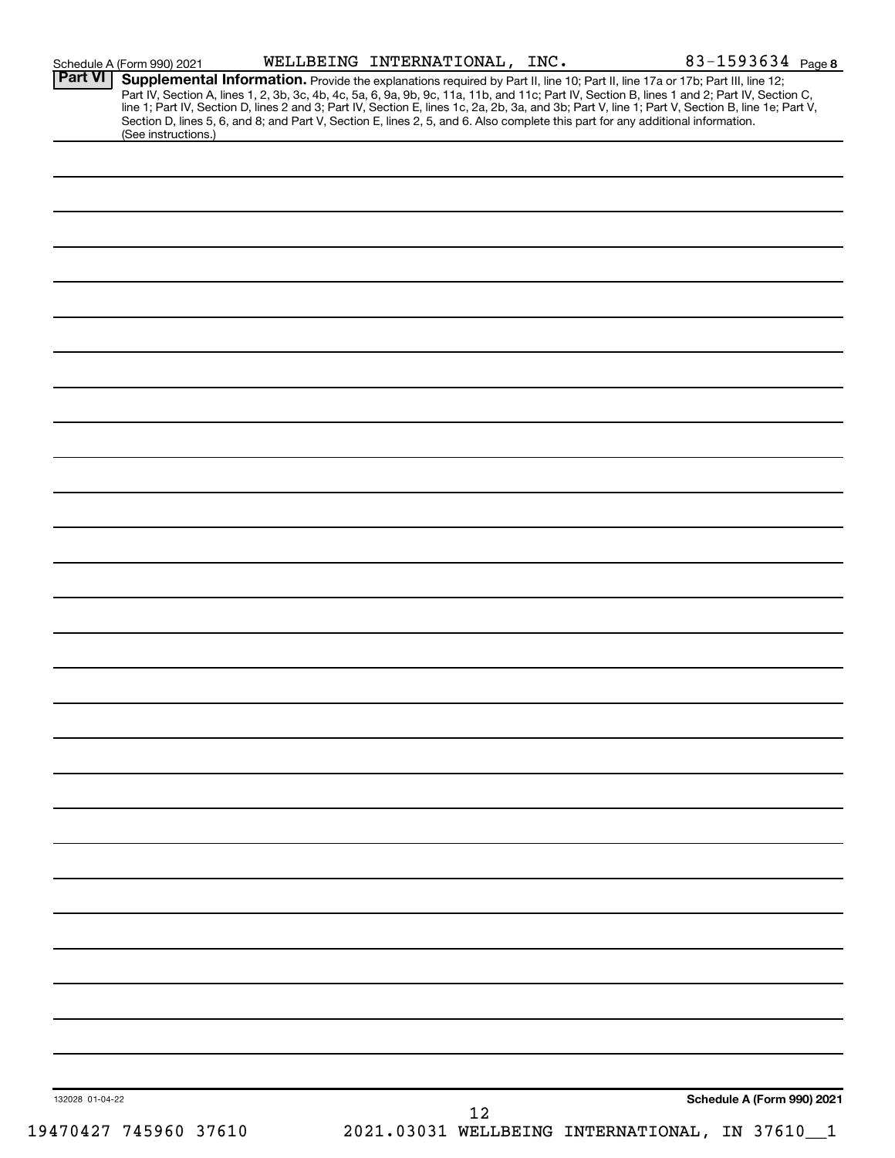|                 | Schedule A (Form 990) 2021 | WELLBEING INTERNATIONAL, INC. |    |                                                                                                                                                                                                                                                                               | 83-1593634 Page 8          |
|-----------------|----------------------------|-------------------------------|----|-------------------------------------------------------------------------------------------------------------------------------------------------------------------------------------------------------------------------------------------------------------------------------|----------------------------|
| Part VI         |                            |                               |    | Supplemental Information. Provide the explanations required by Part II, line 10; Part II, line 17a or 17b; Part III, line 12;<br>Part IV, Section A, lines 1, 2, 3b, 3c, 4b, 4c, 5a, 6, 9a, 9b, 9c, 11a, 11b, and 11c; Part IV, Section B, lines 1 and 2; Part IV, Section C, |                            |
|                 |                            |                               |    | line 1; Part IV, Section D, lines 2 and 3; Part IV, Section E, lines 1c, 2a, 2b, 3a, and 3b; Part V, line 1; Part V, Section B, line 1e; Part V,                                                                                                                              |                            |
|                 |                            |                               |    | Section D, lines 5, 6, and 8; and Part V, Section E, lines 2, 5, and 6. Also complete this part for any additional information.                                                                                                                                               |                            |
|                 | (See instructions.)        |                               |    |                                                                                                                                                                                                                                                                               |                            |
|                 |                            |                               |    |                                                                                                                                                                                                                                                                               |                            |
|                 |                            |                               |    |                                                                                                                                                                                                                                                                               |                            |
|                 |                            |                               |    |                                                                                                                                                                                                                                                                               |                            |
|                 |                            |                               |    |                                                                                                                                                                                                                                                                               |                            |
|                 |                            |                               |    |                                                                                                                                                                                                                                                                               |                            |
|                 |                            |                               |    |                                                                                                                                                                                                                                                                               |                            |
|                 |                            |                               |    |                                                                                                                                                                                                                                                                               |                            |
|                 |                            |                               |    |                                                                                                                                                                                                                                                                               |                            |
|                 |                            |                               |    |                                                                                                                                                                                                                                                                               |                            |
|                 |                            |                               |    |                                                                                                                                                                                                                                                                               |                            |
|                 |                            |                               |    |                                                                                                                                                                                                                                                                               |                            |
|                 |                            |                               |    |                                                                                                                                                                                                                                                                               |                            |
|                 |                            |                               |    |                                                                                                                                                                                                                                                                               |                            |
|                 |                            |                               |    |                                                                                                                                                                                                                                                                               |                            |
|                 |                            |                               |    |                                                                                                                                                                                                                                                                               |                            |
|                 |                            |                               |    |                                                                                                                                                                                                                                                                               |                            |
|                 |                            |                               |    |                                                                                                                                                                                                                                                                               |                            |
|                 |                            |                               |    |                                                                                                                                                                                                                                                                               |                            |
|                 |                            |                               |    |                                                                                                                                                                                                                                                                               |                            |
|                 |                            |                               |    |                                                                                                                                                                                                                                                                               |                            |
|                 |                            |                               |    |                                                                                                                                                                                                                                                                               |                            |
|                 |                            |                               |    |                                                                                                                                                                                                                                                                               |                            |
|                 |                            |                               |    |                                                                                                                                                                                                                                                                               |                            |
|                 |                            |                               |    |                                                                                                                                                                                                                                                                               |                            |
|                 |                            |                               |    |                                                                                                                                                                                                                                                                               |                            |
|                 |                            |                               |    |                                                                                                                                                                                                                                                                               |                            |
|                 |                            |                               |    |                                                                                                                                                                                                                                                                               |                            |
|                 |                            |                               |    |                                                                                                                                                                                                                                                                               |                            |
|                 |                            |                               |    |                                                                                                                                                                                                                                                                               |                            |
|                 |                            |                               |    |                                                                                                                                                                                                                                                                               |                            |
|                 |                            |                               |    |                                                                                                                                                                                                                                                                               |                            |
|                 |                            |                               |    |                                                                                                                                                                                                                                                                               |                            |
|                 |                            |                               |    |                                                                                                                                                                                                                                                                               |                            |
|                 |                            |                               |    |                                                                                                                                                                                                                                                                               |                            |
|                 |                            |                               |    |                                                                                                                                                                                                                                                                               |                            |
|                 |                            |                               |    |                                                                                                                                                                                                                                                                               |                            |
|                 |                            |                               |    |                                                                                                                                                                                                                                                                               |                            |
|                 |                            |                               |    |                                                                                                                                                                                                                                                                               |                            |
|                 |                            |                               |    |                                                                                                                                                                                                                                                                               |                            |
|                 |                            |                               |    |                                                                                                                                                                                                                                                                               |                            |
|                 |                            |                               |    |                                                                                                                                                                                                                                                                               |                            |
|                 |                            |                               |    |                                                                                                                                                                                                                                                                               |                            |
|                 |                            |                               |    |                                                                                                                                                                                                                                                                               |                            |
|                 |                            |                               |    |                                                                                                                                                                                                                                                                               |                            |
|                 |                            |                               |    |                                                                                                                                                                                                                                                                               |                            |
|                 |                            |                               |    |                                                                                                                                                                                                                                                                               |                            |
|                 |                            |                               |    |                                                                                                                                                                                                                                                                               |                            |
|                 |                            |                               |    |                                                                                                                                                                                                                                                                               |                            |
|                 |                            |                               |    |                                                                                                                                                                                                                                                                               |                            |
|                 |                            |                               |    |                                                                                                                                                                                                                                                                               |                            |
|                 |                            |                               |    |                                                                                                                                                                                                                                                                               |                            |
|                 |                            |                               |    |                                                                                                                                                                                                                                                                               |                            |
| 132028 01-04-22 |                            |                               | 12 |                                                                                                                                                                                                                                                                               | Schedule A (Form 990) 2021 |
|                 | 19470427 745960 37610      |                               |    | 2021.03031 WELLBEING INTERNATIONAL, IN 37610_1                                                                                                                                                                                                                                |                            |
|                 |                            |                               |    |                                                                                                                                                                                                                                                                               |                            |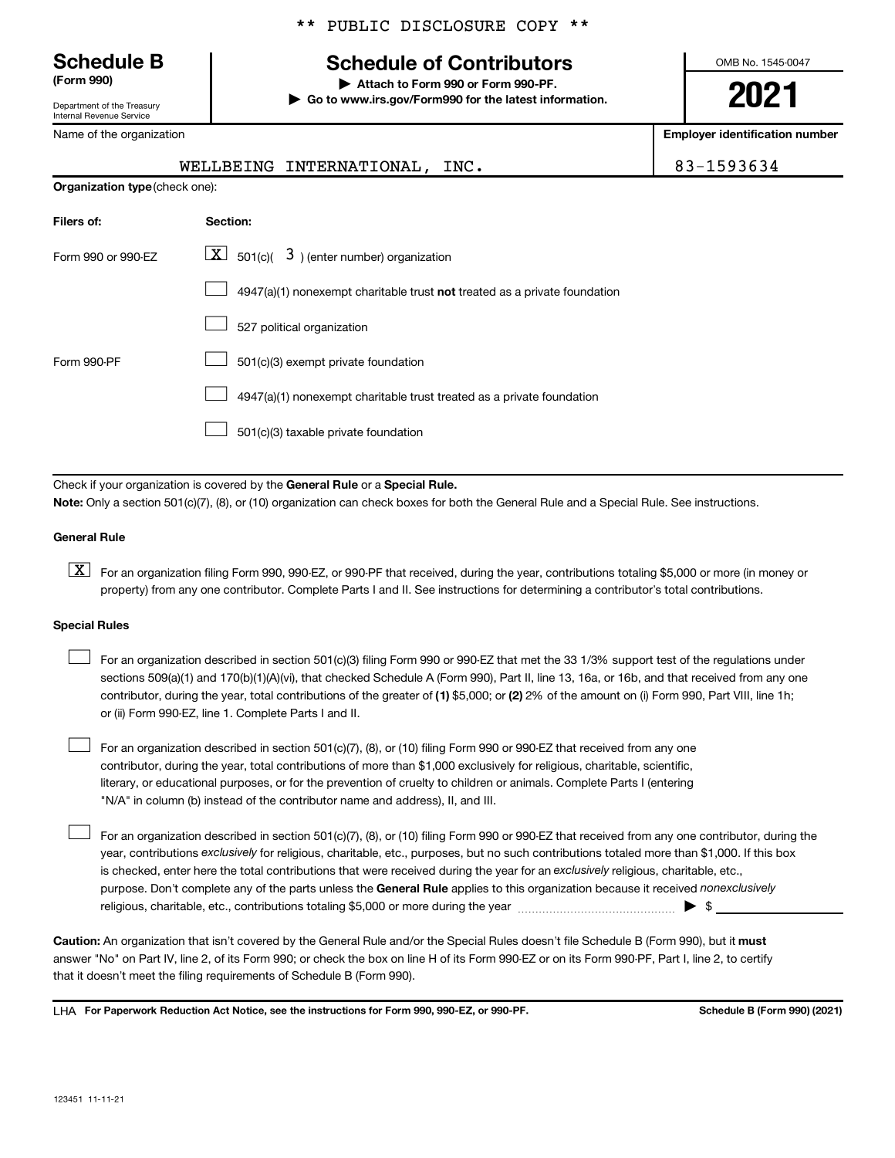Department of the Treasury Internal Revenue Service

Name of the organization

#### \*\* PUBLIC DISCLOSURE COPY \*\*

### **Schedule B Schedule of Contributors**

**(Form 990) | Attach to Form 990 or Form 990-PF. | Go to www.irs.gov/Form990 for the latest information.** OMB No. 1545-0047

**2021**

**Employer identification number**

|                                       | WELLBEING INTERNATIONAL, INC.                                             | 83-1593634 |
|---------------------------------------|---------------------------------------------------------------------------|------------|
| <b>Organization type (check one):</b> |                                                                           |            |
| Filers of:                            | Section:                                                                  |            |
| Form 990 or 990-EZ                    | $\mathbf{X}$<br>$\vert$ 501(c)( $\vert$ 3) (enter number) organization    |            |
|                                       | 4947(a)(1) nonexempt charitable trust not treated as a private foundation |            |
|                                       | 527 political organization                                                |            |
| Form 990-PF                           | 501(c)(3) exempt private foundation                                       |            |

4947(a)(1) nonexempt charitable trust treated as a private foundation  $\Box$ 

501(c)(3) taxable private foundation  $\Box$ 

Check if your organization is covered by the General Rule or a Special Rule.

**Note:**  Only a section 501(c)(7), (8), or (10) organization can check boxes for both the General Rule and a Special Rule. See instructions.

#### **General Rule**

**K** For an organization filing Form 990, 990-EZ, or 990-PF that received, during the year, contributions totaling \$5,000 or more (in money or property) from any one contributor. Complete Parts I and II. See instructions for determining a contributor's total contributions.

#### **Special Rules**

 $\Box$ 

- contributor, during the year, total contributions of the greater of (1) \$5,000; or (2) 2% of the amount on (i) Form 990, Part VIII, line 1h; For an organization described in section 501(c)(3) filing Form 990 or 990-EZ that met the 33 1/3% support test of the regulations under sections 509(a)(1) and 170(b)(1)(A)(vi), that checked Schedule A (Form 990), Part II, line 13, 16a, or 16b, and that received from any one or (ii) Form 990-EZ, line 1. Complete Parts I and II.  $\Box$
- For an organization described in section 501(c)(7), (8), or (10) filing Form 990 or 990-EZ that received from any one contributor, during the year, total contributions of more than \$1,000 exclusively for religious, charitable, scientific, literary, or educational purposes, or for the prevention of cruelty to children or animals. Complete Parts I (entering "N/A" in column (b) instead of the contributor name and address), II, and III.  $\Box$

purpose. Don't complete any of the parts unless the General Rule applies to this organization because it received nonexclusively year, contributions exclusively for religious, charitable, etc., purposes, but no such contributions totaled more than \$1,000. If this box is checked, enter here the total contributions that were received during the year for an exclusively religious, charitable, etc., For an organization described in section 501(c)(7), (8), or (10) filing Form 990 or 990-EZ that received from any one contributor, during the religious, charitable, etc., contributions totaling \$5,000 or more during the year  $\ldots$  $\ldots$  $\ldots$  $\ldots$  $\ldots$  $\ldots$ 

Caution: An organization that isn't covered by the General Rule and/or the Special Rules doesn't file Schedule B (Form 990), but it must answer "No" on Part IV, line 2, of its Form 990; or check the box on line H of its Form 990-EZ or on its Form 990-PF, Part I, line 2, to certify that it doesn't meet the filing requirements of Schedule B (Form 990).

LHA For Paperwork Reduction Act Notice, see the instructions for Form 990, 990-EZ, or 990-PF. **Schell B (Form 990)** (2021)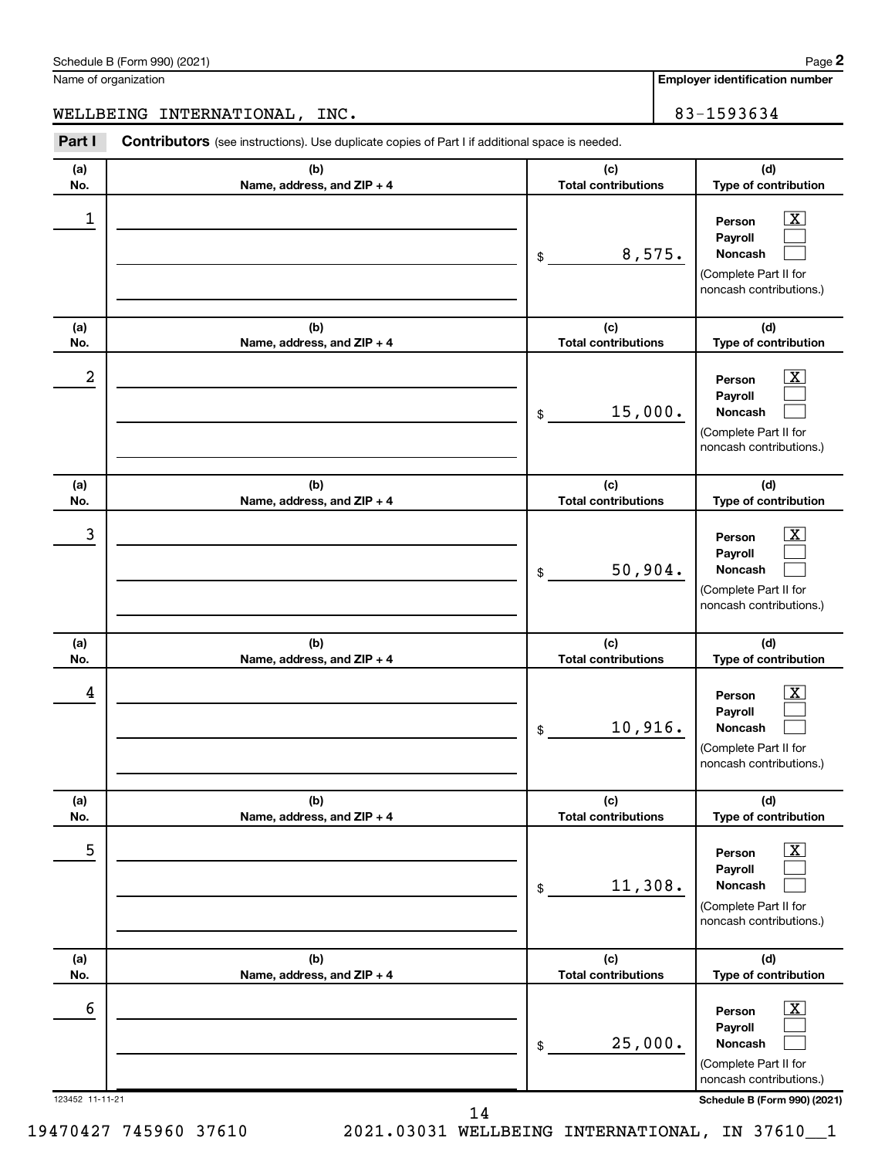14

123452 11-11-21 **Schedule B (Form 990) (2021)**

| Schedule B (Form 990) (2021) | Page |
|------------------------------|------|

Name of organization

WELLBEING INTERNATIONAL, INC. | 83-1593634

**(a) No. (b) Name, address, and ZIP + 4 (c) Total contributions (d) Type of contribution Person Payroll Noncash (a) No. (b) Name, address, and ZIP + 4 (c) Total contributions (d) Type of contribution Person Payroll Noncash (a) No. (b) Name, address, and ZIP + 4 (c) Total contributions (d) Type of contribution Person Payroll Noncash (a) No. (b) Name, address, and ZIP + 4 (c) Total contributions (d) Type of contribution Person Payroll Noncash (a) No. (b) Name, address, and ZIP + 4 (c) Total contributions (d) Type of contribution Person Payroll Noncash (a) No. (b) Name, address, and ZIP + 4 (c) Total contributions (d) Type of contribution Person Payroll Noncash Part I** Contributors (see instructions). Use duplicate copies of Part I if additional space is needed. \$ (Complete Part II for noncash contributions.) \$ (Complete Part II for noncash contributions.) \$ (Complete Part II for noncash contributions.) \$ (Complete Part II for noncash contributions.) \$ (Complete Part II for noncash contributions.) \$ (Complete Part II for noncash contributions.)  $\lfloor x \rfloor$  $\Box$  $\Box$  $\boxed{\textbf{X}}$  $\Box$  $\Box$  $\boxed{\textbf{X}}$  $\Box$  $\Box$  $\boxed{\textbf{X}}$  $\Box$  $\Box$  $\boxed{\text{X}}$  $\Box$  $\Box$  $\boxed{\text{X}}$  $\Box$  $\Box$  $\begin{array}{|c|c|c|c|c|}\hline \ \text{1} & \text{Person} & \text{X} \ \hline \end{array}$ 8,575.  $2$  Person  $\overline{\text{X}}$ 15,000.  $\begin{array}{|c|c|c|c|c|c|}\hline \text{3} & \text{Person} & \text{X} \ \hline \end{array}$ 50,904.  $\begin{array}{|c|c|c|c|c|}\hline \text{4} & \text{Person} & \text{\textbf{X}}\ \hline \end{array}$ 10,916.  $\overline{5}$  Person  $\overline{X}$ 11,308.  $\overline{6}$  Person  $\overline{X}$ 25,000.

**Employer identification number**

19470427 745960 37610 2021.03031 WELLBEING INTERNATIONAL, IN 37610\_\_1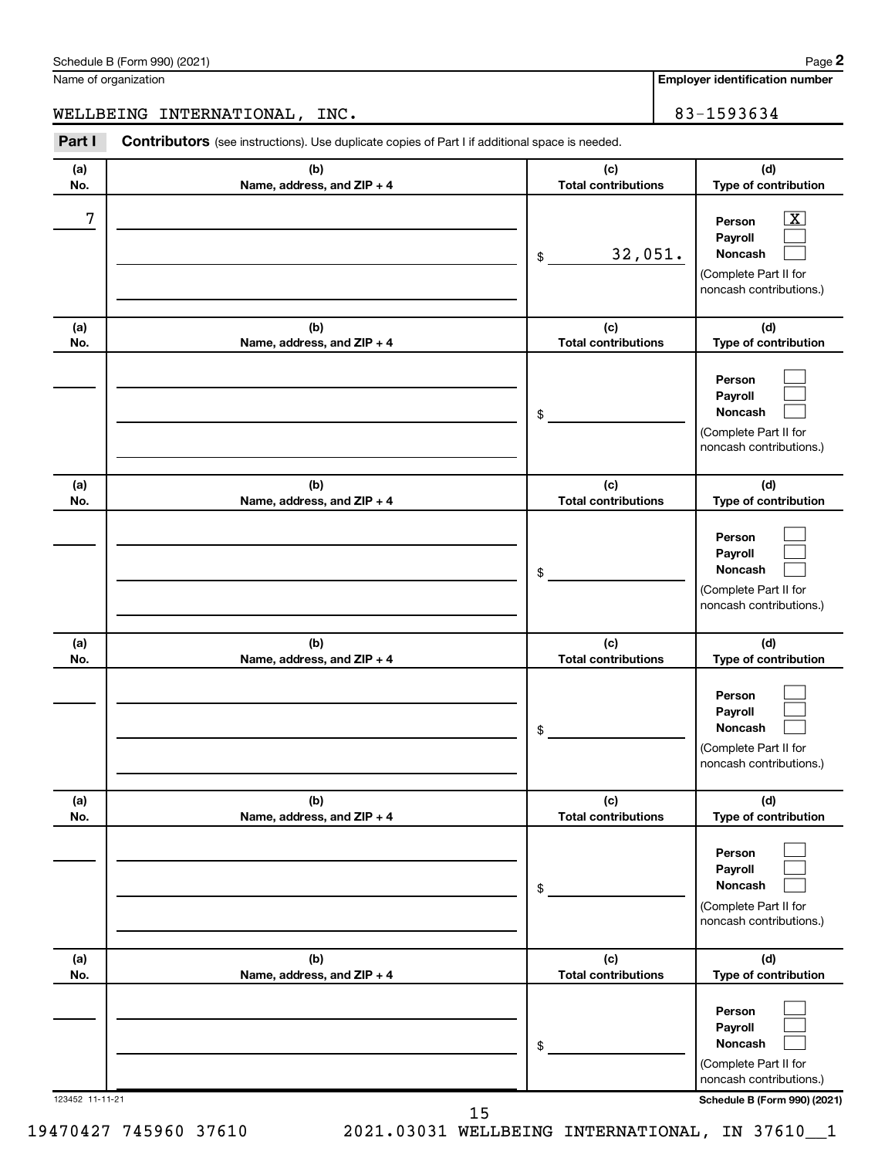| (a) | (b)                        | (c)                        | (d)                                                                                                             |
|-----|----------------------------|----------------------------|-----------------------------------------------------------------------------------------------------------------|
| No. | Name, address, and ZIP + 4 | <b>Total contributions</b> | Type of contribution                                                                                            |
| 7   |                            | 32,051.<br>\$              | $\boxed{\textbf{X}}$<br>Person<br>Payroll<br><b>Noncash</b><br>(Complete Part II for<br>noncash contributions.) |
| (a) | (b)                        | (c)                        | (d)                                                                                                             |
| No. | Name, address, and ZIP + 4 | <b>Total contributions</b> | Type of contribution                                                                                            |
|     |                            | \$                         | Person<br>Payroll<br>Noncash<br>(Complete Part II for<br>noncash contributions.)                                |
| (a) | (b)                        | (c)                        | (d)                                                                                                             |
| No. | Name, address, and ZIP + 4 | <b>Total contributions</b> | Type of contribution                                                                                            |
|     |                            | \$                         | Person<br>Payroll<br>Noncash<br>(Complete Part II for<br>noncash contributions.)                                |
| (a) | (b)                        | (c)                        | (d)                                                                                                             |
| No. | Name, address, and ZIP + 4 | <b>Total contributions</b> | Type of contribution                                                                                            |
|     |                            | \$                         | Person<br>Payroll<br>Noncash<br>(Complete Part II for<br>noncash contributions.)                                |
| (a) | (b)                        | (c)                        | (d)                                                                                                             |
| No. | Name, address, and ZIP + 4 | <b>Total contributions</b> | Type of contribution                                                                                            |
|     |                            | \$                         | Person<br>Payroll<br>Noncash<br>(Complete Part II for<br>noncash contributions.)                                |
| (a) | (b)                        | (c)                        | (d)                                                                                                             |
| No. | Name, address, and ZIP + 4 | <b>Total contributions</b> | Type of contribution                                                                                            |
|     |                            | \$                         | Person<br>Payroll<br>Noncash<br>(Complete Part II for<br>noncash contributions.)                                |

Schedule B (Form 990) (2021) Name of organization

WELLBEING INTERNATIONAL, INC. 83-1593634

**Part I** Contributors (see instructions). Use duplicate copies of Part I if additional space is needed.

**Employer identification number**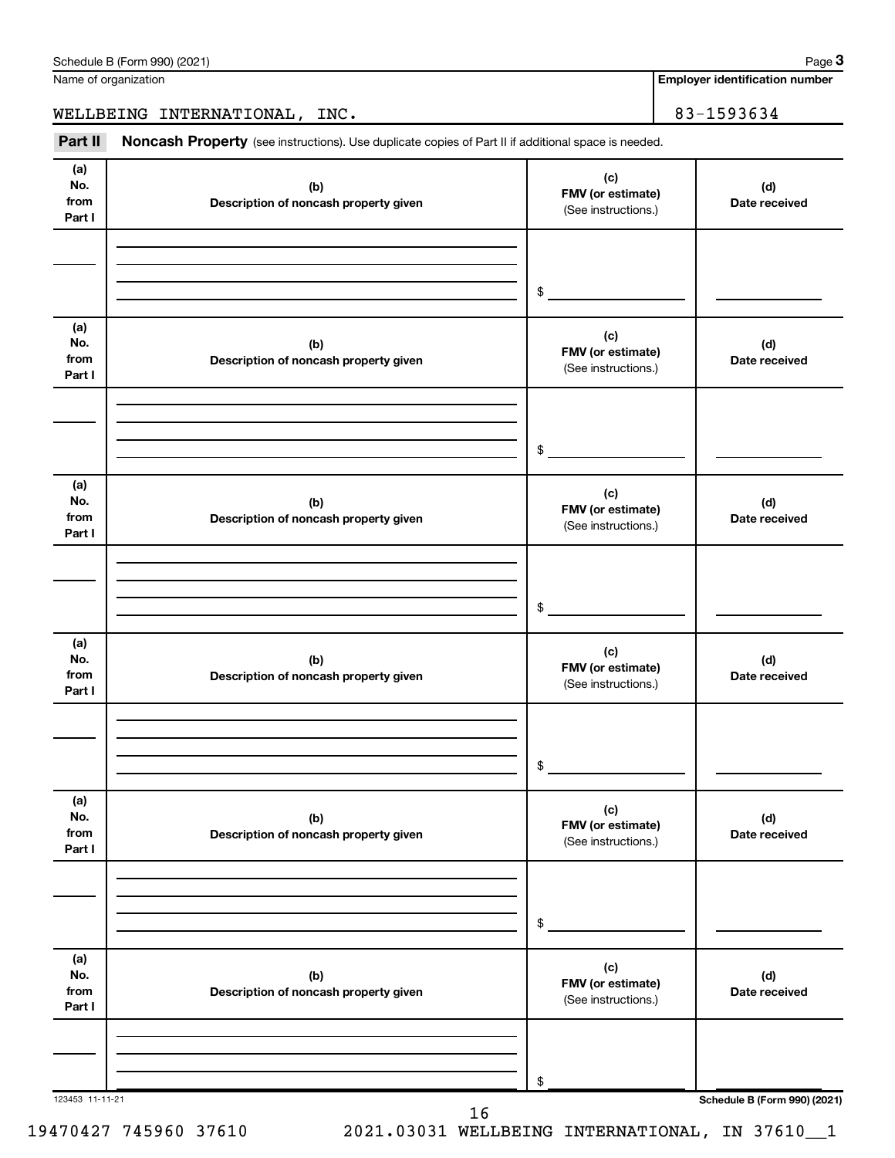| Part II                      | Noncash Property (see instructions). Use duplicate copies of Part II if additional space is needed. |                                                 |                      |
|------------------------------|-----------------------------------------------------------------------------------------------------|-------------------------------------------------|----------------------|
| (a)<br>No.<br>from<br>Part I | (b)<br>Description of noncash property given                                                        | (c)<br>FMV (or estimate)<br>(See instructions.) | (d)<br>Date received |
|                              |                                                                                                     | $$\circ$$                                       |                      |
| (a)<br>No.<br>from<br>Part I | (b)<br>Description of noncash property given                                                        | (c)<br>FMV (or estimate)<br>(See instructions.) | (d)<br>Date received |
|                              |                                                                                                     | \$                                              |                      |
| (a)<br>No.<br>from<br>Part I | (b)<br>Description of noncash property given                                                        | (c)<br>FMV (or estimate)<br>(See instructions.) | (d)<br>Date received |
|                              |                                                                                                     | \$                                              |                      |
| (a)<br>No.<br>from<br>Part I | (b)<br>Description of noncash property given                                                        | (c)<br>FMV (or estimate)<br>(See instructions.) | (d)<br>Date received |
|                              |                                                                                                     | \$                                              |                      |
| (a)<br>No.<br>from<br>Part I | (b)<br>Description of noncash property given                                                        | (c)<br>FMV (or estimate)<br>(See instructions.) | (d)<br>Date received |
|                              |                                                                                                     | \$                                              |                      |
| (a)<br>No.<br>from<br>Part I | (b)<br>Description of noncash property given                                                        | (c)<br>FMV (or estimate)<br>(See instructions.) | (d)<br>Date received |
|                              |                                                                                                     | \$                                              |                      |

19470427 745960 37610 2021.03031 WELLBEING INTERNATIONAL, IN 37610\_\_1

**Employer identification number**

**3**

#### Schedule B (Form 990) (2021) Name of organization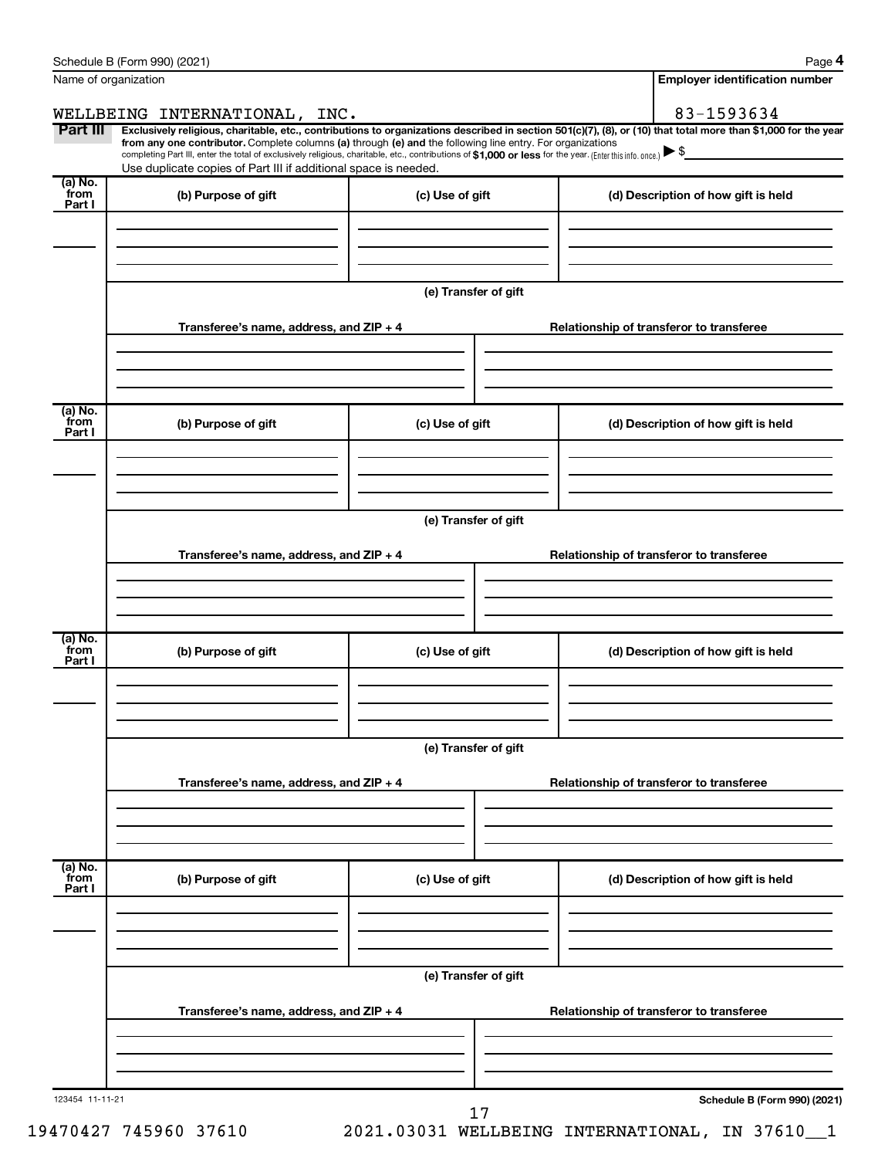|                           | Schedule B (Form 990) (2021)                                                                                                                                                                                                                                                                                                                                       |                                          | Page 4                                                                                                                                                         |  |  |
|---------------------------|--------------------------------------------------------------------------------------------------------------------------------------------------------------------------------------------------------------------------------------------------------------------------------------------------------------------------------------------------------------------|------------------------------------------|----------------------------------------------------------------------------------------------------------------------------------------------------------------|--|--|
|                           | Name of organization                                                                                                                                                                                                                                                                                                                                               |                                          | <b>Employer identification number</b>                                                                                                                          |  |  |
|                           | WELLBEING INTERNATIONAL, INC.                                                                                                                                                                                                                                                                                                                                      |                                          | 83-1593634                                                                                                                                                     |  |  |
| Part III                  | from any one contributor. Complete columns (a) through (e) and the following line entry. For organizations<br>completing Part III, enter the total of exclusively religious, charitable, etc., contributions of \$1,000 or less for the year. (Enter this info. once.) $\blacktriangleright$ \$<br>Use duplicate copies of Part III if additional space is needed. |                                          | Exclusively religious, charitable, etc., contributions to organizations described in section 501(c)(7), (8), or (10) that total more than \$1,000 for the year |  |  |
| (a) No.<br>from<br>Part I | (b) Purpose of gift                                                                                                                                                                                                                                                                                                                                                | (c) Use of gift                          | (d) Description of how gift is held                                                                                                                            |  |  |
|                           |                                                                                                                                                                                                                                                                                                                                                                    |                                          |                                                                                                                                                                |  |  |
|                           |                                                                                                                                                                                                                                                                                                                                                                    | (e) Transfer of gift                     |                                                                                                                                                                |  |  |
|                           | Transferee's name, address, and ZIP + 4                                                                                                                                                                                                                                                                                                                            | Relationship of transferor to transferee |                                                                                                                                                                |  |  |
|                           |                                                                                                                                                                                                                                                                                                                                                                    |                                          |                                                                                                                                                                |  |  |
| (a) No.<br>from<br>Part I | (b) Purpose of gift                                                                                                                                                                                                                                                                                                                                                | (c) Use of gift                          | (d) Description of how gift is held                                                                                                                            |  |  |
|                           |                                                                                                                                                                                                                                                                                                                                                                    |                                          |                                                                                                                                                                |  |  |
|                           |                                                                                                                                                                                                                                                                                                                                                                    | (e) Transfer of gift                     |                                                                                                                                                                |  |  |
|                           | Transferee's name, address, and ZIP + 4                                                                                                                                                                                                                                                                                                                            | Relationship of transferor to transferee |                                                                                                                                                                |  |  |
|                           |                                                                                                                                                                                                                                                                                                                                                                    |                                          |                                                                                                                                                                |  |  |
| (a) No.                   |                                                                                                                                                                                                                                                                                                                                                                    |                                          |                                                                                                                                                                |  |  |
| from<br>Part I            | (b) Purpose of gift                                                                                                                                                                                                                                                                                                                                                | (c) Use of gift                          | (d) Description of how gift is held                                                                                                                            |  |  |
|                           |                                                                                                                                                                                                                                                                                                                                                                    |                                          |                                                                                                                                                                |  |  |
|                           |                                                                                                                                                                                                                                                                                                                                                                    | (e) Transfer of gift                     |                                                                                                                                                                |  |  |
|                           | Transferee's name, address, and ZIP + 4                                                                                                                                                                                                                                                                                                                            |                                          | Relationship of transferor to transferee                                                                                                                       |  |  |
|                           |                                                                                                                                                                                                                                                                                                                                                                    |                                          |                                                                                                                                                                |  |  |
| (a) No.<br>from<br>Part I | (b) Purpose of gift                                                                                                                                                                                                                                                                                                                                                | (c) Use of gift                          | (d) Description of how gift is held                                                                                                                            |  |  |
|                           |                                                                                                                                                                                                                                                                                                                                                                    |                                          |                                                                                                                                                                |  |  |
|                           | (e) Transfer of gift                                                                                                                                                                                                                                                                                                                                               |                                          |                                                                                                                                                                |  |  |
|                           | Transferee's name, address, and ZIP + 4                                                                                                                                                                                                                                                                                                                            |                                          | Relationship of transferor to transferee                                                                                                                       |  |  |
|                           |                                                                                                                                                                                                                                                                                                                                                                    |                                          |                                                                                                                                                                |  |  |
| 123454 11-11-21           |                                                                                                                                                                                                                                                                                                                                                                    | 17                                       | Schedule B (Form 990) (2021)                                                                                                                                   |  |  |

19470427 745960 37610 2021.03031 WELLBEING INTERNATIONAL, IN 37610\_\_1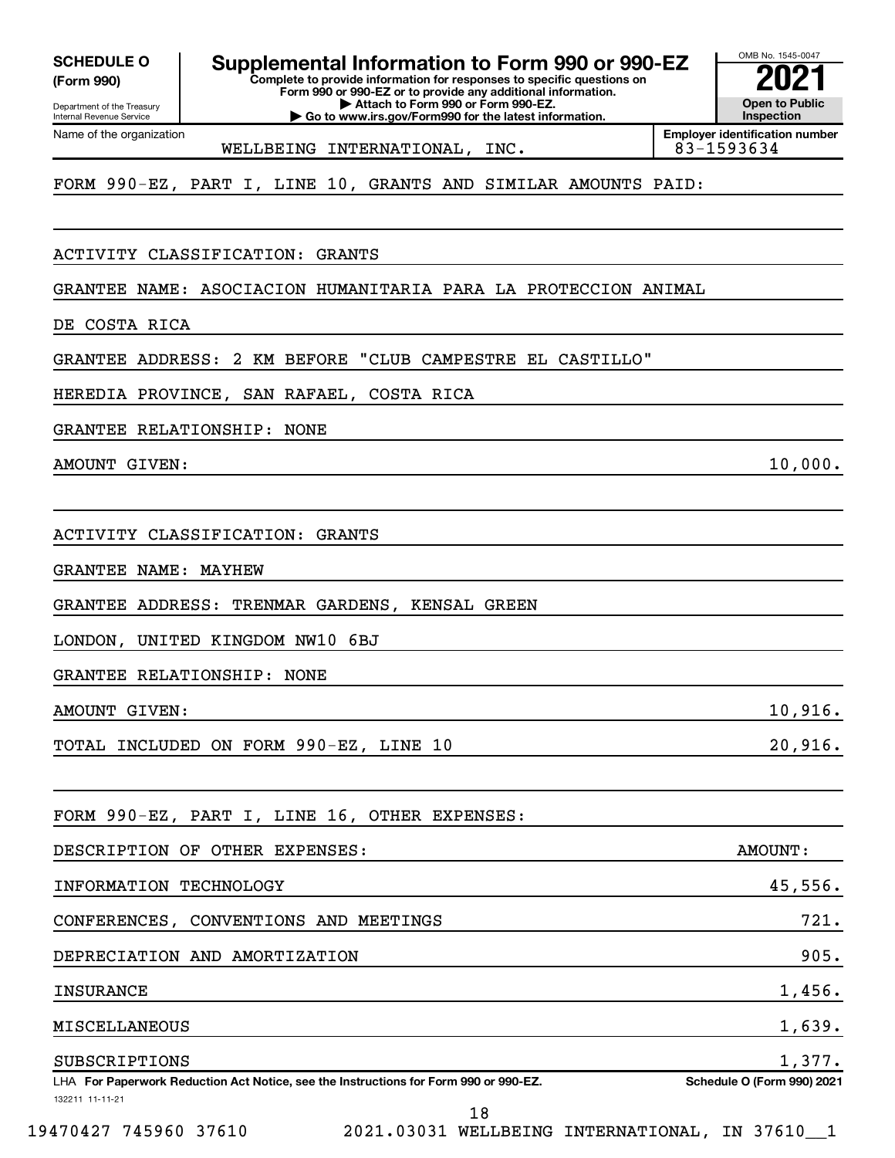Department of the Treasury Internal Revenue Service

Name of the organization

**(Form 990)**

SCHEDULE O **Supplemental Information to Form 990 or 990-EZ 2021<br>(Form 990) Complete to provide information for responses to specific questions on** 

**Complete to provide information for responses to specific questions on Form 990 or 990-EZ or to provide any additional information. | Attach to Form 990 or Form 990-EZ.**

**| Go to www.irs.gov/Form990 for the latest information.**

**Open to Public Inspection Employer identification number**

OMB No. 1545-0047

FORM 990-EZ, PART I, LINE 10, GRANTS AND SIMILAR AMOUNTS PAID:

WELLBEING INTERNATIONAL, INC.

ACTIVITY CLASSIFICATION: GRANTS

GRANTEE NAME: ASOCIACION HUMANITARIA PARA LA PROTECCION ANIMAL

DE COSTA RICA

GRANTEE ADDRESS: 2 KM BEFORE "CLUB CAMPESTRE EL CASTILLO"

HEREDIA PROVINCE, SAN RAFAEL, COSTA RICA

GRANTEE RELATIONSHIP: NONE

AMOUNT GIVEN: 10,000.

ACTIVITY CLASSIFICATION: GRANTS

GRANTEE NAME: MAYHEW

GRANTEE ADDRESS: TRENMAR GARDENS, KENSAL GREEN

LONDON, UNITED KINGDOM NW10 6BJ

GRANTEE RELATIONSHIP: NONE

AMOUNT GIVEN: 10,916.

TOTAL INCLUDED ON FORM 990-EZ, LINE 10 20,916.

FORM 990-EZ, PART I, LINE 16, OTHER EXPENSES:

| DESCRIPTION OF OTHER EXPENSES:                                                       | AMOUNT:                           |
|--------------------------------------------------------------------------------------|-----------------------------------|
| INFORMATION TECHNOLOGY                                                               | 45,556.                           |
| CONFERENCES, CONVENTIONS AND MEETINGS                                                | 721.                              |
| DEPRECIATION AND AMORTIZATION                                                        | 905.                              |
| <b>INSURANCE</b>                                                                     | 1,456.                            |
| <b>MISCELLANEOUS</b>                                                                 | 1,639.                            |
| SUBSCRIPTIONS                                                                        | 1,377.                            |
| LHA For Paperwork Reduction Act Notice, see the Instructions for Form 990 or 990-EZ. | <b>Schedule O (Form 990) 2021</b> |
| 132211 11-11-21                                                                      |                                   |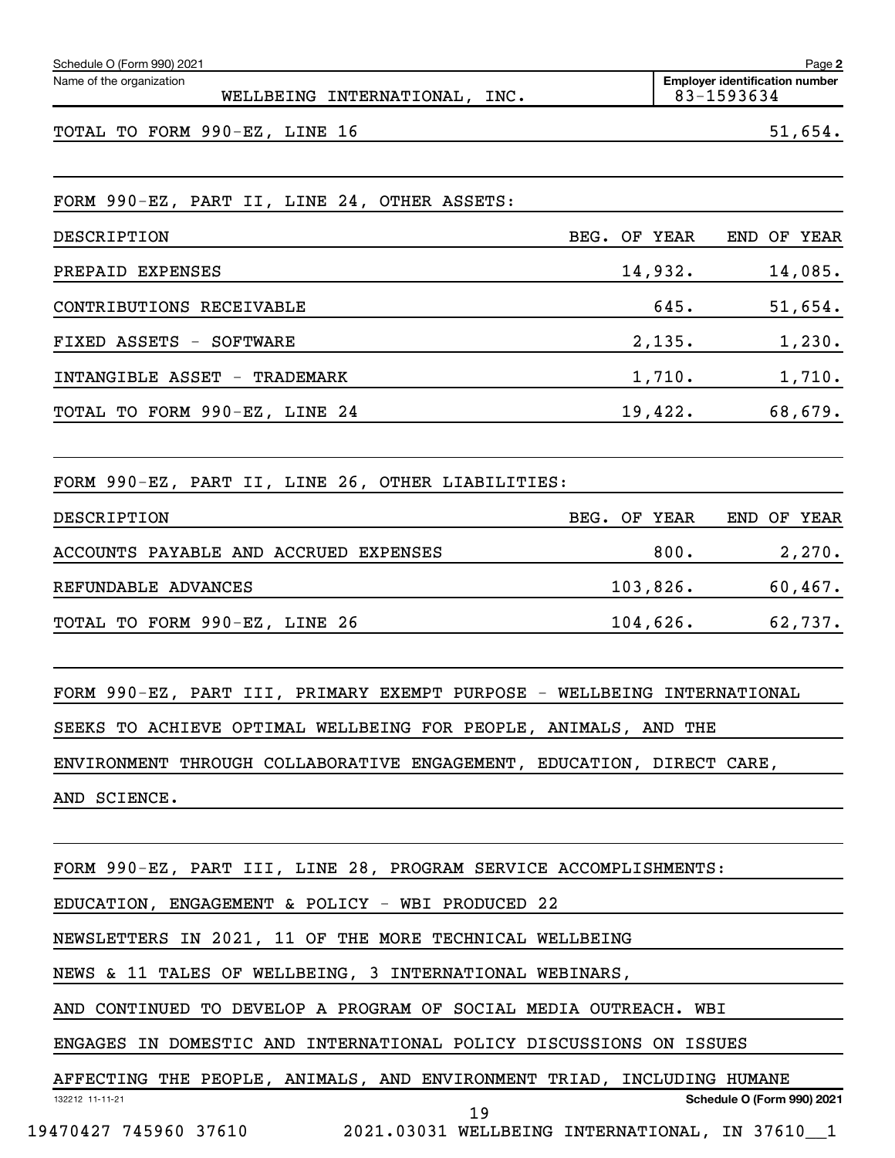| Schedule O (Form 990) 2021<br>Name of the organization                  |              |             | <b>Employer identification number</b> | Page 2     |
|-------------------------------------------------------------------------|--------------|-------------|---------------------------------------|------------|
| WELLBEING INTERNATIONAL, INC.                                           |              |             | 83-1593634                            |            |
| TOTAL TO FORM 990-EZ, LINE 16                                           |              |             |                                       | 51,654.    |
| FORM 990-EZ, PART II, LINE 24, OTHER ASSETS:                            |              |             |                                       |            |
| DESCRIPTION                                                             | BEG. OF YEAR |             | END OF YEAR                           |            |
| PREPAID EXPENSES                                                        |              | 14,932.     |                                       | 14,085.    |
| CONTRIBUTIONS RECEIVABLE                                                |              | 645.        |                                       | 51,654.    |
| FIXED ASSETS - SOFTWARE                                                 |              | 2,135.      |                                       | 1,230.     |
| INTANGIBLE ASSET - TRADEMARK                                            |              | 1,710.      | 1,710.                                |            |
| TOTAL TO FORM 990-EZ, LINE 24                                           |              | 19,422.     |                                       | 68,679.    |
| FORM 990-EZ, PART II, LINE 26, OTHER LIABILITIES:                       |              |             |                                       |            |
| DESCRIPTION                                                             | BEG. OF YEAR |             | END OF YEAR                           |            |
| ACCOUNTS PAYABLE AND ACCRUED EXPENSES                                   |              | 800.        |                                       | 2,270.     |
| REFUNDABLE ADVANCES                                                     |              | 103,826.    |                                       | $60,467$ . |
| TOTAL TO FORM 990-EZ, LINE 26                                           |              | $104,626$ . |                                       | 62,737.    |
| FORM 990-EZ, PART III, PRIMARY EXEMPT PURPOSE - WELLBEING INTERNATIONAL |              |             |                                       |            |
| SEEKS TO ACHIEVE OPTIMAL WELLBEING FOR PEOPLE, ANIMALS, AND THE         |              |             |                                       |            |
| ENVIRONMENT THROUGH COLLABORATIVE ENGAGEMENT, EDUCATION, DIRECT CARE,   |              |             |                                       |            |
| AND SCIENCE.                                                            |              |             |                                       |            |
| FORM 990-EZ, PART III, LINE 28, PROGRAM SERVICE ACCOMPLISHMENTS:        |              |             |                                       |            |
| EDUCATION, ENGAGEMENT & POLICY - WBI PRODUCED 22                        |              |             |                                       |            |
| NEWSLETTERS IN 2021, 11 OF THE MORE TECHNICAL WELLBEING                 |              |             |                                       |            |
| NEWS & 11 TALES OF WELLBEING, 3 INTERNATIONAL WEBINARS,                 |              |             |                                       |            |
| AND CONTINUED TO DEVELOP A PROGRAM OF SOCIAL MEDIA OUTREACH. WBI        |              |             |                                       |            |
| ENGAGES IN DOMESTIC AND INTERNATIONAL POLICY DISCUSSIONS ON ISSUES      |              |             |                                       |            |
| AFFECTING THE PEOPLE, ANIMALS, AND ENVIRONMENT TRIAD, INCLUDING HUMANE  |              |             |                                       |            |
| 132212 11-11-21<br>19                                                   |              |             | <b>Schedule O (Form 990) 2021</b>     |            |
| 19470427 745960 37610 2021.03031 WELLBEING INTERNATIONAL, IN 37610 1    |              |             |                                       |            |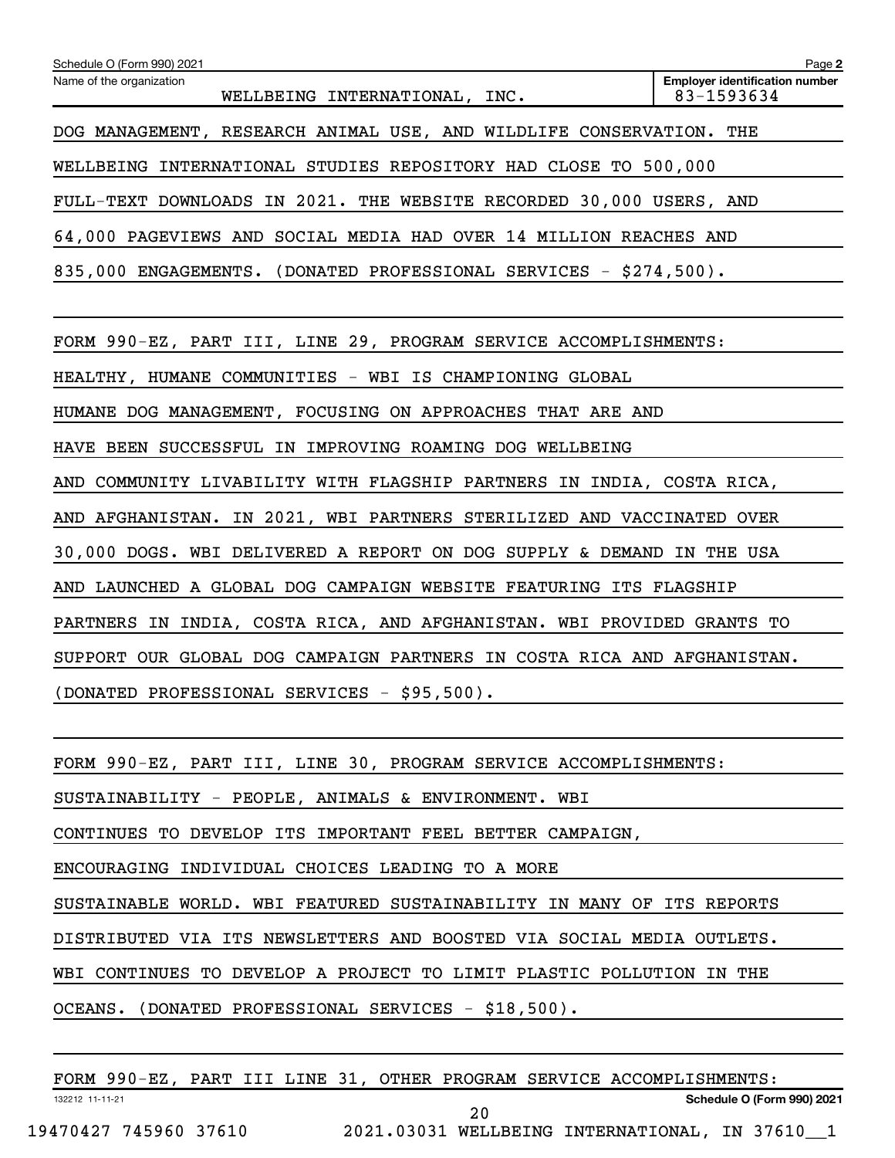| Schedule O (Form 990) 2021                                              | Page 2                                              |  |  |  |  |
|-------------------------------------------------------------------------|-----------------------------------------------------|--|--|--|--|
| Name of the organization<br>WELLBEING INTERNATIONAL, INC.               | <b>Employer identification number</b><br>83-1593634 |  |  |  |  |
| DOG MANAGEMENT, RESEARCH ANIMAL USE, AND WILDLIFE CONSERVATION. THE     |                                                     |  |  |  |  |
| WELLBEING INTERNATIONAL STUDIES REPOSITORY HAD CLOSE TO 500,000         |                                                     |  |  |  |  |
| FULL-TEXT DOWNLOADS IN 2021. THE WEBSITE RECORDED 30,000 USERS, AND     |                                                     |  |  |  |  |
| 64,000 PAGEVIEWS AND SOCIAL MEDIA HAD OVER 14 MILLION REACHES AND       |                                                     |  |  |  |  |
| 835,000 ENGAGEMENTS. (DONATED PROFESSIONAL SERVICES - \$274,500).       |                                                     |  |  |  |  |
|                                                                         |                                                     |  |  |  |  |
| FORM 990-EZ, PART III, LINE 29, PROGRAM SERVICE ACCOMPLISHMENTS:        |                                                     |  |  |  |  |
| HEALTHY, HUMANE COMMUNITIES - WBI IS CHAMPIONING GLOBAL                 |                                                     |  |  |  |  |
| HUMANE DOG MANAGEMENT, FOCUSING ON APPROACHES THAT ARE AND              |                                                     |  |  |  |  |
| HAVE BEEN SUCCESSFUL IN IMPROVING ROAMING DOG WELLBEING                 |                                                     |  |  |  |  |
| AND COMMUNITY LIVABILITY WITH FLAGSHIP PARTNERS IN INDIA, COSTA RICA,   |                                                     |  |  |  |  |
| AND AFGHANISTAN. IN 2021, WBI PARTNERS STERILIZED AND VACCINATED OVER   |                                                     |  |  |  |  |
| 30,000 DOGS. WBI DELIVERED A REPORT ON DOG SUPPLY & DEMAND IN THE USA   |                                                     |  |  |  |  |
| AND LAUNCHED A GLOBAL DOG CAMPAIGN WEBSITE FEATURING ITS FLAGSHIP       |                                                     |  |  |  |  |
| PARTNERS IN INDIA, COSTA RICA, AND AFGHANISTAN. WBI PROVIDED GRANTS TO  |                                                     |  |  |  |  |
| SUPPORT OUR GLOBAL DOG CAMPAIGN PARTNERS IN COSTA RICA AND AFGHANISTAN. |                                                     |  |  |  |  |
| (DONATED PROFESSIONAL SERVICES - \$95,500).                             |                                                     |  |  |  |  |
|                                                                         |                                                     |  |  |  |  |
| FORM 990-EZ, PART III, LINE 30, PROGRAM SERVICE ACCOMPLISHMENTS:        |                                                     |  |  |  |  |
| SUSTAINABILITY - PEOPLE, ANIMALS & ENVIRONMENT. WBI                     |                                                     |  |  |  |  |
| CONTINUES TO DEVELOP ITS IMPORTANT FEEL BETTER CAMPAIGN,                |                                                     |  |  |  |  |
| ENCOURAGING INDIVIDUAL CHOICES LEADING TO A MORE                        |                                                     |  |  |  |  |
| SUSTAINABLE WORLD. WBI FEATURED SUSTAINABILITY IN MANY OF ITS REPORTS   |                                                     |  |  |  |  |
| DISTRIBUTED VIA ITS NEWSLETTERS AND BOOSTED VIA SOCIAL MEDIA OUTLETS.   |                                                     |  |  |  |  |
| WBI CONTINUES TO DEVELOP A PROJECT TO LIMIT PLASTIC POLLUTION IN THE    |                                                     |  |  |  |  |
| (DONATED PROFESSIONAL SERVICES - \$18,500).<br>OCEANS.                  |                                                     |  |  |  |  |
|                                                                         |                                                     |  |  |  |  |

132212 11-11-21 **Schedule O (Form 990) 2021** FORM 990-EZ, PART III LINE 31, OTHER PROGRAM SERVICE ACCOMPLISHMENTS: 19470427 745960 37610 2021.03031 WELLBEING INTERNATIONAL, IN 37610\_\_1 20